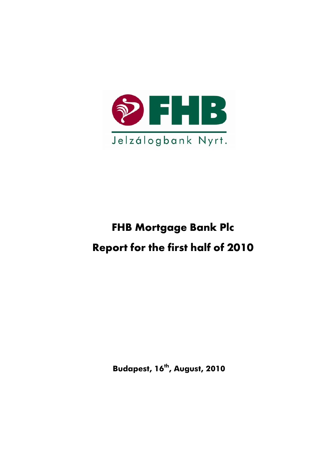

# **FHB Mortgage Bank Plc Report for the first half of 2010**

**Budapest, 16th, August, 2010**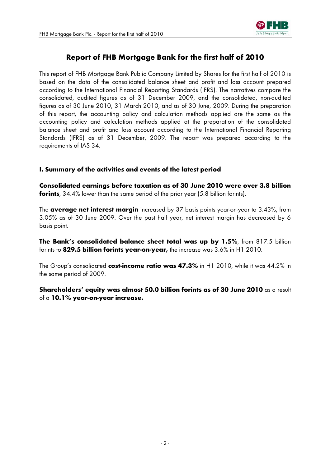

# **Report of FHB Mortgage Bank for the first half of 2010**

This report of FHB Mortgage Bank Public Company Limited by Shares for the first half of 2010 is based on the data of the consolidated balance sheet and profit and loss account prepared according to the International Financial Reporting Standards (IFRS). The narratives compare the consolidated, audited figures as of 31 December 2009, and the consolidated, non-audited figures as of 30 June 2010, 31 March 2010, and as of 30 June, 2009. During the preparation of this report, the accounting policy and calculation methods applied are the same as the accounting policy and calculation methods applied at the preparation of the consolidated balance sheet and profit and loss account according to the International Financial Reporting Standards (IFRS) as of 31 December, 2009. The report was prepared according to the requirements of IAS 34.

# **I. Summary of the activities and events of the latest period**

**Consolidated earnings before taxation as of 30 June 2010 were over 3.8 billion forints**, 34.4% lower than the same period of the prior year (5.8 billion forints).

The **average net interest margin** increased by 37 basis points year-on-year to 3.43%, from 3.05% as of 30 June 2009. Over the past half year, net interest margin has decreased by 6 basis point.

**The Bank's consolidated balance sheet total was up by 1.5%**, from 817.5 billion forints to **829.5 billion forints year-on-year,** the increase was 3.6% in H1 2010.

The Group's consolidated **cost-income ratio was 47.3%** in H1 2010, while it was 44.2% in the same period of 2009.

**Shareholders' equity was almost 50.0 billion forints as of 30 June 2010** as a result of a **10.1% year-on-year increase.**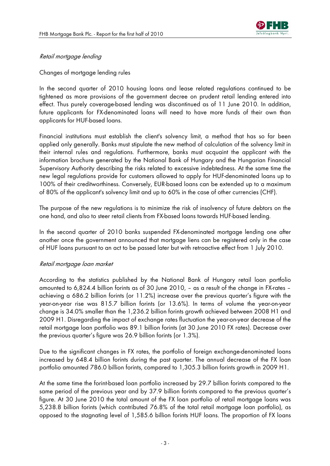

# Retail mortgage lending

Changes of mortgage lending rules

In the second quarter of 2010 housing loans and lease related regulations continued to be tightened as more provisions of the government decree on prudent retail lending entered into effect. Thus purely coverage-based lending was discontinued as of 11 June 2010. In addition, future applicants for FX-denominated loans will need to have more funds of their own than applicants for HUF-based loans.

Financial institutions must establish the client's solvency limit, a method that has so far been applied only generally. Banks must stipulate the new method of calculation of the solvency limit in their internal rules and regulations. Furthermore, banks must acquaint the applicant with the information brochure generated by the National Bank of Hungary and the Hungarian Financial Supervisory Authority describing the risks related to excessive indebtedness. At the same time the new legal regulations provide for customers allowed to apply for HUF-denominated loans up to 100% of their creditworthiness. Conversely, EUR-based loans can be extended up to a maximum of 80% of the applicant's solvency limit and up to 60% in the case of other currencies (CHF).

The purpose of the new regulations is to minimize the risk of insolvency of future debtors on the one hand, and also to steer retail clients from FX-based loans towards HUF-based lending.

In the second quarter of 2010 banks suspended FX-denominated mortgage lending one after another once the government announced that mortgage liens can be registered only in the case of HUF loans pursuant to an act to be passed later but with retroactive effect from 1 July 2010.

#### Retail mortgage loan market

According to the statistics published by the National Bank of Hungary retail loan portfolio amounted to 6,824.4 billion forints as of 30 June 2010, – as a result of the change in FX-rates – achieving a 686.2 billion forints (or 11.2%) increase over the previous quarter's figure with the year-on-year rise was 815.7 billion forints (or 13.6%). In terms of volume the year-on-year change is 34.0% smaller than the 1,236.2 billion forints growth achieved between 2008 H1 and 2009 H1. Disregarding the impact of exchange rates fluctuation the year-on-year decrease of the retail mortgage loan portfolio was 89.1 billion forints (at 30 June 2010 FX rates). Decrease over the previous quarter's figure was 26.9 billion forints (or 1.3%).

Due to the significant changes in FX rates, the portfolio of foreign exchange-denominated loans increased by 648.4 billion forints during the past quarter. The annual decrease of the FX loan portfolio amounted 786.0 billion forints, compared to 1,305.3 billion forints growth in 2009 H1.

At the same time the forint-based loan portfolio increased by 29.7 billion forints compared to the same period of the previous year and by 37.9 billion forints compared to the previous quarter's figure. At 30 June 2010 the total amount of the FX loan portfolio of retail mortgage loans was 5,238.8 billion forints (which contributed 76.8% of the total retail mortgage loan portfolio), as opposed to the stagnating level of 1,585.6 billion forints HUF loans. The proportion of FX loans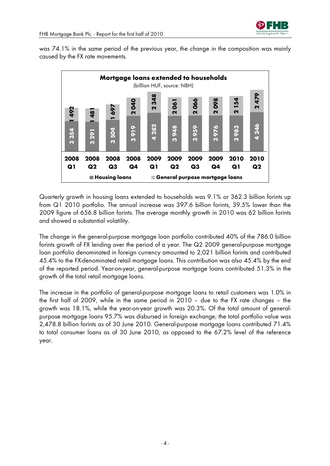

was 74.1% in the same period of the previous year, the change in the composition was mainly caused by the FX rate movements.



Quarterly growth in housing loans extended to households was 9.1% or 362.3 billion forints up from Q1 2010 portfolio. The annual increase was 397.6 billion forints, 39.5% lower than the 2009 figure of 656.8 billion forints. The average monthly growth in 2010 was 62 billion forints and showed a substantial volatility.

The change in the general-purpose mortgage loan portfolio contributed 40% of the 786.0 billion forints growth of FX lending over the period of a year. The Q2 2009 general-purpose mortgage loan portfolio denominated in foreign currency amounted to 2,021 billion forints and contributed 45.4% to the FX-denominated retail mortgage loans. This contribution was also 45.4% by the end of the reported period. Year-on-year, general-purpose mortgage loans contributed 51.3% in the growth of the total retail mortgage loans.

The increase in the portfolio of general-purpose mortgage loans to retail customers was 1.0% in the first half of 2009, while in the same period in 2010 – due to the FX rate changes – the growth was 18.1%, while the year-on-year growth was 20.3%. Of the total amount of generalpurpose mortgage loans 95.7% was disbursed in foreign exchange; the total portfolio value was 2,478.8 billion forints as of 30 June 2010. General-purpose mortgage loans contributed 71.4% to total consumer loans as of 30 June 2010, as opposed to the 67.2% level of the reference year.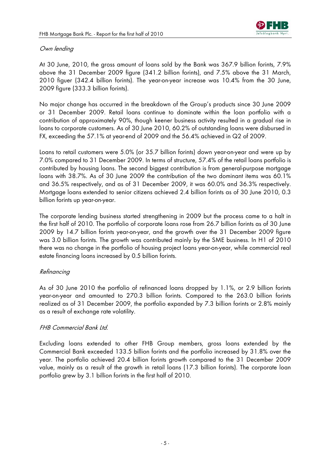

# Own lending

At 30 June, 2010, the gross amount of loans sold by the Bank was 367.9 billion forints, 7.9% above the 31 December 2009 figure (341.2 billion forints), and 7.5% above the 31 March, 2010 figuer (342.4 billion forints). The year-on-year increase was 10.4% from the 30 June, 2009 figure (333.3 billion forints).

No major change has occurred in the breakdown of the Group's products since 30 June 2009 or 31 December 2009. Retail loans continue to dominate within the loan portfolio with a contribution of approximately 90%, though keener business activity resulted in a gradual rise in loans to corporate customers. As of 30 June 2010, 60.2% of outstanding loans were disbursed in FX, exceeding the 57.1% at year-end of 2009 and the 56.4% achieved in Q2 of 2009.

Loans to retail customers were 5.0% (or 35.7 billion forints) down year-on-year and were up by 7.0% compared to 31 December 2009. In terms of structure, 57.4% of the retail loans portfolio is contributed by housing loans. The second biggest contribution is from general-purpose mortgage loans with 38.7%. As of 30 June 2009 the contribution of the two dominant items was 60.1% and 36.5% respectively, and as of 31 December 2009, it was 60.0% and 36.3% respectively. Mortgage loans extended to senior citizens achieved 2.4 billion forints as of 30 June 2010, 0.3 billion forints up year-on-year.

The corporate lending business started strengthening in 2009 but the process came to a halt in the first half of 2010. The portfolio of corporate loans rose from 26.7 billion forints as of 30 June 2009 by 14.7 billion forints year-on-year, and the growth over the 31 December 2009 figure was 3.0 billion forints. The growth was contributed mainly by the SME business. In H1 of 2010 there was no change in the portfolio of housing project loans year-on-year, while commercial real estate financing loans increased by 0.5 billion forints.

#### Refinancing

As of 30 June 2010 the portfolio of refinanced loans dropped by 1.1%, or 2.9 billion forints year-on-year and amounted to 270.3 billion forints. Compared to the 263.0 billion forints realized as of 31 December 2009, the portfolio expanded by 7.3 billion forints or 2.8% mainly as a result of exchange rate volatility.

#### FHB Commercial Bank Ltd.

Excluding loans extended to other FHB Group members, gross loans extended by the Commercial Bank exceeded 133.5 billion forints and the portfolio increased by 31.8% over the year. The portfolio achieved 20.4 billion forints growth compared to the 31 December 2009 value, mainly as a result of the growth in retail loans (17.3 billion forints). The corporate loan portfolio grew by 3.1 billion forints in the first half of 2010.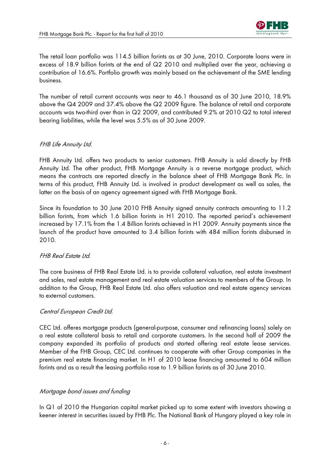

The retail loan portfolio was 114.5 billion forints as at 30 June, 2010. Corporate loans were in excess of 18.9 billion forints at the end of Q2 2010 and multiplied over the year, achieving a contribution of 16.6%. Portfolio growth was mainly based on the achievement of the SME lending business.

The number of retail current accounts was near to 46.1 thousand as of 30 June 2010, 18.9% above the Q4 2009 and 37.4% above the Q2 2009 figure. The balance of retail and corporate accounts was two-third over than in Q2 2009, and contributed 9.2% at 2010 Q2 to total interest bearing liabilities, while the level was 5.5% as of 30 June 2009.

## FHB Life Annuity Ltd.

FHB Annuity Ltd. offers two products to senior customers. FHB Annuity is sold directly by FHB Annuity Ltd. The other product, FHB Mortgage Annuity is a reverse mortgage product, which means the contracts are reported directly in the balance sheet of FHB Mortgage Bank Plc. In terms of this product, FHB Annuity Ltd. is involved in product development as well as sales, the latter on the basis of an agency agreement signed with FHB Mortgage Bank.

Since its foundation to 30 June 2010 FHB Annuity signed annuity contracts amounting to 11.2 billion forints, from which 1.6 billion forints in H1 2010. The reported period's achievement increased by 17.1% from the 1.4 Billion forints achieved in H1 2009. Annuity payments since the launch of the product have amounted to 3.4 billion forints with 484 million forints disbursed in 2010.

#### FHB Real Estate Ltd.

The core business of FHB Real Estate Ltd. is to provide collateral valuation, real estate investment and sales, real estate management and real estate valuation services to members of the Group. In addition to the Group, FHB Real Estate Ltd. also offers valuation and real estate agency services to external customers.

#### Central European Credit Ltd.

CEC Ltd. offeres mortgage products (general-purpose, consumer and refinancing loans) solely on a real estate collateral basis to retail and corporate customers. In the second half of 2009 the company expanded its portfolio of products and started offering real estate lease services. Member of the FHB Group, CEC Ltd. continues to cooperate with other Group companies in the premium real estate financing market. In H1 of 2010 lease financing amounted to 604 million forints and as a result the leasing portfolio rose to 1.9 billion forints as of 30 June 2010.

#### Mortgage bond issues and funding

In Q1 of 2010 the Hungarian capital market picked up to some extent with investors showing a keener interest in securities issued by FHB Plc. The National Bank of Hungary played a key role in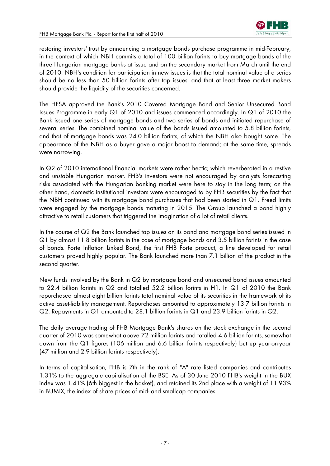

restoring investors' trust by announcing a mortgage bonds purchase programme in mid-February, in the context of which NBH commits a total of 100 billion forints to buy mortgage bonds of the three Hungarian mortgage banks at issue and on the secondary market from March until the end of 2010. NBH's condition for participation in new issues is that the total nominal value of a series should be no less than 50 billion forints after tap issues, and that at least three market makers should provide the liquidity of the securities concerned.

The HFSA approved the Bank's 2010 Covered Mortgage Bond and Senior Unsecured Bond Issues Programme in early Q1 of 2010 and issues commenced accordingly. In Q1 of 2010 the Bank issued one series of mortgage bonds and two series of bonds and initiated repurchase of several series. The combined nominal value of the bonds issued amounted to 5.8 billion forints, and that of mortgage bonds was 24.0 billion forints, of which the NBH also bought some. The appearance of the NBH as a buyer gave a major boost to demand; at the same time, spreads were narrowing.

In Q2 of 2010 international financial markets were rather hectic; which reverberated in a restive and unstable Hungarian market. FHB's investors were not encouraged by analysts forecasting risks associated with the Hungarian banking market were here to stay in the long term; on the other hand, domestic institutional investors were encouraged to by FHB securities by the fact that the NBH continued with its mortgage bond purchases that had been started in Q1. Freed limits were engaged by the mortgage bonds maturing in 2015. The Group launched a bond highly attractive to retail customers that triggered the imagination of a lot of retail clients.

In the course of Q2 the Bank launched tap issues on its bond and mortgage bond series issued in Q1 by almost 11.8 billion forints in the case of mortgage bonds and 3.5 billion forints in the case of bonds. Forte Inflation Linked Bond, the first FHB Forte product, a line developed for retail customers proved highly popular. The Bank launched more than 7.1 billion of the product in the second quarter.

New funds involved by the Bank in Q2 by mortgage bond and unsecured bond issues amounted to 22.4 billion forints in Q2 and totalled 52.2 billion forints in H1. In Q1 of 2010 the Bank repurchased almost eight billion forints total nominal value of its securities in the framework of its active asset-liability management. Repurchases amounted to approximately 13.7 billion forints in Q2. Repayments in Q1 amounted to 28.1 billion forints in Q1 and 23.9 billion forints in Q2.

The daily average trading of FHB Mortgage Bank's shares on the stock exchange in the second quarter of 2010 was somewhat above 72 million forints and totalled 4.6 billion forints, somewhat down from the Q1 figures (106 million and 6.6 billion forints respectively) but up year-on-year (47 million and 2.9 billion forints respectively).

In terms of capitalisation, FHB is 7th in the rank of "A" rate listed companies and contributes 1.31% to the aggregate capitalisation of the BSE. As of 30 June 2010 FHB's weight in the BUX index was 1.41% (6th biggest in the basket), and retained its 2nd place with a weight of 11.93% in BUMIX, the index of share prices of mid- and smallcap companies.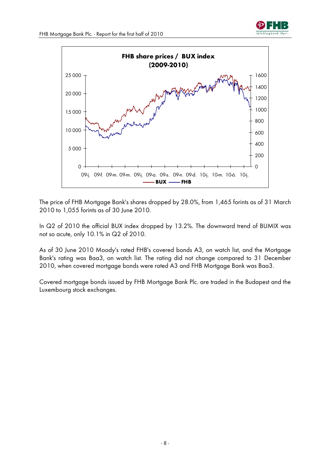





The price of FHB Mortgage Bank's shares dropped by 28.0%, from 1,465 forints as of 31 March 2010 to 1,055 forints as of 30 June 2010.

In Q2 of 2010 the official BUX index dropped by 13.2%. The downward trend of BUMIX was not so acute, only 10.1% in Q2 of 2010.

As of 30 June 2010 Moody's rated FHB's covered bonds A3, on watch list, and the Mortgage Bank's rating was Baa3, on watch list. The rating did not change compared to 31 December 2010, when covered mortgage bonds were rated A3 and FHB Mortgage Bank was Baa3.

Covered mortgage bonds issued by FHB Mortgage Bank Plc. are traded in the Budapest and the Luxembourg stock exchanges.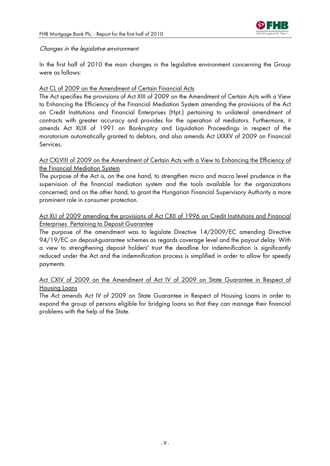

#### Changes in the legislative environment

In the first half of 2010 the main changes in the legislative environment concerning the Group were as follows:

# Act CL of 2009 on the Amendment of Certain Financial Acts

The Act specifies the provisions of Act XIII of 2009 on the Amendment of Certain Acts with a View to Enhancing the Efficiency of the Financial Mediation System amending the provisions of the Act on Credit Institutions and Financial Enterprises (Hpt.) pertaining to unilateral amendment of contracts with greater accuracy and provides for the operation of mediators. Furthermore, it amends Act XLIX of 1991 on Bankruptcy and Liquidation Proceedings in respect of the moratorium automatically granted to debtors, and also amends Act LXXXV of 2009 on Financial Services.

# Act CXLVIII of 2009 on the Amendment of Certain Acts with a View to Enhancing the Efficiency of the Financial Mediation System

The purpose of the Act is, on the one hand, to strengthen micro and macro level prudence in the supervision of the financial mediation system and the tools available for the organizations concerned; and on the other hand, to grant the Hungarian Financial Supervisory Authority a more prominent role in consumer protection.

# Act XLI of 2009 amending the provisions of Act CXII of 1996 on Credit Institutions and Financial Enterprises Pertaining to Deposit Guarantee

The purpose of the amendment was to legislate Directive 14/2009/EC amending Directive 94/19/EC on deposit-guarantee schemes as regards coverage level and the payout delay. With a view to strengthening deposit holders' trust the deadline for indemnification is significantly reduced under the Act and the indemnification process is simplified in order to allow for speedy payments.

# Act CXIV of 2009 on the Amendment of Act IV of 2009 on State Guarantee in Respect of Housing Loans

The Act amends Act IV of 2009 on State Guarantee in Respect of Housing Loans in order to expand the group of persons eligible for bridging loans so that they can manage their financial problems with the help of the State.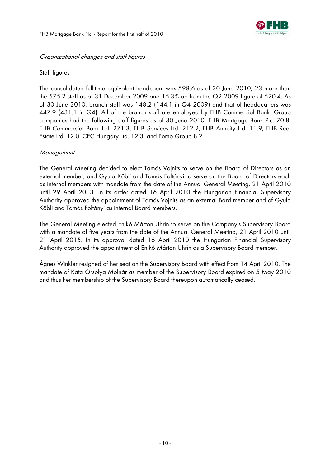

#### Organizational changes and staff figures

## Staff figures

The consolidated full-time equivalent headcount was 598.6 as of 30 June 2010, 23 more than the 575.2 staff as of 31 December 2009 and 15.3% up from the Q2 2009 figure of 520.4. As of 30 June 2010, branch staff was 148.2 (144.1 in Q4 2009) and that of headquarters was 447.9 (431.1 in Q4). All of the branch staff are employed by FHB Commercial Bank. Group companies had the following staff figures as of 30 June 2010: FHB Mortgage Bank Plc. 70.8, FHB Commercial Bank Ltd. 271.3, FHB Services Ltd. 212.2, FHB Annuity Ltd. 11.9, FHB Real Estate Ltd. 12.0, CEC Hungary Ltd. 12.3, and Pomo Group 8.2.

#### **Management**

The General Meeting decided to elect Tamás Vojnits to serve on the Board of Directors as an external member, and Gyula Köbli and Tamás Foltányi to serve on the Board of Directors each as internal members with mandate from the date of the Annual General Meeting, 21 April 2010 until 29 April 2013. In its order dated 16 April 2010 the Hungarian Financial Supervisory Authority approved the appointment of Tamás Vojnits as an external Bard member and of Gyula Köbli and Tamás Foltányi as internal Board members.

The General Meeting elected Enikő Márton Uhrin to serve on the Company's Supervisory Board with a mandate of five years from the date of the Annual General Meeting, 21 April 2010 until 21 April 2015. In its approval dated 16 April 2010 the Hungarian Financial Supervisory Authority approved the appointment of Enikő Márton Uhrin as a Supervisory Board member.

Ágnes Winkler resigned of her seat on the Supervisory Board with effect from 14 April 2010. The mandate of Kata Orsolya Molnár as member of the Supervisory Board expired on 5 May 2010 and thus her membership of the Supervisory Board thereupon automatically ceased.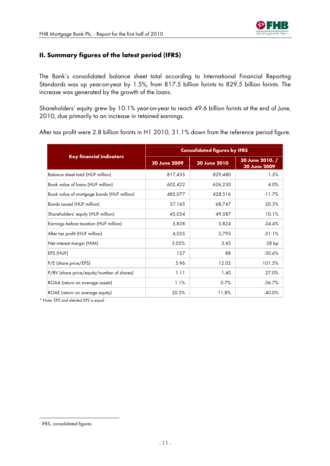# <span id="page-10-0"></span>**II. Summary figures of the latest period (IFRS)** [1](#page-10-0)

The Bank's consolidated balance sheet total according to International Financial Reporting Standards was up year-on-year by 1.5%, from 817.5 billion forints to 829.5 billion forints. The increase was generated by the growth of the loans.

Shareholders' equity grew by 10.1% year-on-year to reach 49.6 billion forints at the end of June, 2010, due primarily to an increase in retained earnings.

After tax profit were 2.8 billion forints in H1 2010, 31.1% down from the reference period figure.

|                                            | <b>Consolidated figures by IFRS</b> |              |                                 |  |  |
|--------------------------------------------|-------------------------------------|--------------|---------------------------------|--|--|
| <b>Key financial indicators</b>            | 30 June 2009                        | 30 June 2010 | 30 June 2010. /<br>30 June 2009 |  |  |
| Balance sheet total (HUF million)          | 817,455                             | 829,480      | 1.5%                            |  |  |
| Book value of loans (HUF million)          | 602,422                             | 626,230      | 4.0%                            |  |  |
| Book value of mortgage bonds (HUF million) | 485,077                             | 428,516      | $-11.7%$                        |  |  |
| Bonds issued (HUF million)                 | 57,165                              | 68,747       | 20.3%                           |  |  |
| Shareholders' equity (HUF million)         | 45,054                              | 49,587       | 10.1%                           |  |  |
| Earnings before taxation (HUF million)     | 5,828                               | 3,824        | $-34.4%$                        |  |  |
| After tax profit (HUF million)             | 4,055                               | 2,793        | $-31.1%$                        |  |  |
| Net interest margin (NIM)                  | 3.05%                               | 3.43         | 38 bp                           |  |  |
| EPS (HUF)                                  | 127                                 | 88           | $-30.6%$                        |  |  |
| P/E (share price/EPS)                      | 5.96                                | 12.02        | 101.5%                          |  |  |
| P/BV (share price/equity/number of shares) | 1.11                                | 1.40         | 27.0%                           |  |  |
| ROAA (return on average assets)            | 1.1%                                | 0.7%         | $-36.7%$                        |  |  |
| ROAE (return on average equity)            | 20.3%                               | 11.8%        | $-40.0%$                        |  |  |

\* Note: EPS and deluted EPS is equal

 $\overline{a}$ 

<sup>1</sup> IFRS, consolidated figures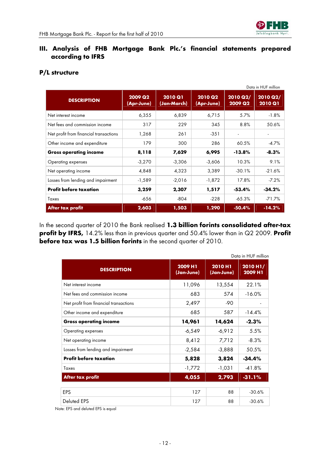

# **III. Analysis of FHB Mortgage Bank Plc.'s financial statements prepared according to IFRS**

|                                        |                                   |                               |                              |                     | Data in HUF million               |
|----------------------------------------|-----------------------------------|-------------------------------|------------------------------|---------------------|-----------------------------------|
| <b>DESCRIPTION</b>                     | 2009 Q <sub>2</sub><br>(Apr-June) | <b>2010 Q1</b><br>(Jan-March) | <b>2010 Q2</b><br>(Apr-June) | 2010 Q2/<br>2009 Q2 | <b>2010 Q2/</b><br><b>2010 Q1</b> |
| Net interest income                    | 6,355                             | 6,839                         | 6,715                        | 5.7%                | $-1.8%$                           |
| Net fees and commission income         | 317                               | 229                           | 345                          | 8.8%                | 50.6%                             |
| Net profit from financial transactions | 1,268                             | 261                           | $-351$                       |                     |                                   |
| Other income and expenditure           | 179                               | 300                           | 286                          | 60.5%               | $-4.7%$                           |
| <b>Gross operating income</b>          | 8,118                             | 7,629                         | 6,995                        | $-13.8\%$           | $-8.3\%$                          |
| Operating expenses                     | $-3,270$                          | $-3,306$                      | $-3,606$                     | 10.3%               | 9.1%                              |
| Net operating income                   | 4,848                             | 4,323                         | 3,389                        | $-30.1%$            | $-21.6%$                          |
| Losses from lending and impairment     | -1,589                            | $-2,016$                      | $-1,872$                     | 17.8%               | $-7.2%$                           |
| <b>Profit before taxation</b>          | 3,259                             | 2,307                         | 1,517                        | $-53.4\%$           | $-34.2%$                          |
| Taxes                                  | -656                              | $-804$                        | $-228$                       | $-65.3%$            | $-71.7%$                          |
| After tax profit                       | 2,603                             | 1,503                         | 1,290                        | $-50.4%$            | $-14.2%$                          |

# **P/L structure**

In the second quarter of 2010 the Bank realised **1.3 billion forints consolidated after-tax profit by IFRS,** 14.2% less than in previous quarter and 50.4% lower than in Q2 2009. **Profit before tax was 1.5 billion forints** in the second quarter of 2010.

|                                        | Data in HUF million   |                       |                     |  |  |
|----------------------------------------|-----------------------|-----------------------|---------------------|--|--|
| <b>DESCRIPTION</b>                     | 2009 H1<br>(Jan-June) | 2010 H1<br>(Jan-June) | 2010 H1/<br>2009 H1 |  |  |
| Net interest income                    | 11,096                | 13,554                | 22.1%               |  |  |
| Net fees and commission income         | 683                   | 574                   | $-16.0%$            |  |  |
| Net profit from financial transactions | 2,497                 | $-90$                 |                     |  |  |
| Other income and expenditure           | 685                   | 587                   | $-14.4%$            |  |  |
| <b>Gross operating income</b>          | 14,961                | 14,624                | $-2.3%$             |  |  |
| Operating expenses                     | $-6,549$              | $-6,912$              | 5.5%                |  |  |
| Net operating income                   | 8,412                 | 7,712                 | $-8.3%$             |  |  |
| Losses from lending and impairment     | $-2,584$              | $-3,888$              | 50.5%               |  |  |
| <b>Profit before taxation</b>          | 5,828                 | 3,824                 | $-34.4%$            |  |  |
| Taxes                                  | $-1,772$              | $-1,031$              | $-41.8%$            |  |  |
| After tax profit                       | 4,055                 | 2,793                 | $-31.1%$            |  |  |
|                                        |                       |                       |                     |  |  |
| EPS                                    | 127                   | 88                    | $-30.6%$            |  |  |
| Deluted EPS                            | 127                   | 88                    | $-30.6%$            |  |  |

Note: EPS and deluted EPS is equal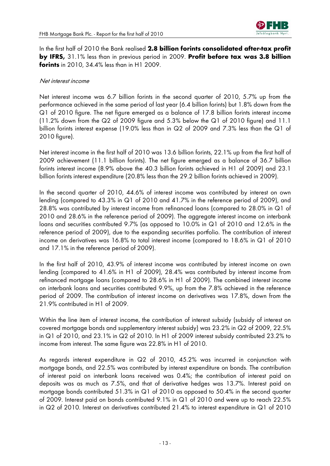

In the first half of 2010 the Bank realised **2.8 billion forints consolidated after-tax profit by IFRS,** 31.1% less than in previous period in 2009. **Profit before tax was 3.8 billion forints** in 2010, 34.4% less than in H1 2009.

#### Net interest income

Net interest income was 6.7 billion forints in the second quarter of 2010, 5.7% up from the performance achieved in the same period of last year (6.4 billion forints) but 1.8% down from the Q1 of 2010 figure. The net figure emerged as a balance of 17.8 billion forints interest income (11.2% down from the Q2 of 2009 figure and 5.3% below the Q1 of 2010 figure) and 11.1 billion forints interest expense (19.0% less than in Q2 of 2009 and 7.3% less than the Q1 of 2010 figure).

Net interest income in the first half of 2010 was 13.6 billion forints, 22.1% up from the first half of 2009 achievement (11.1 billion forints). The net figure emerged as a balance of 36.7 billion forints interest income (8.9% above the 40.3 billion forints achieved in H1 of 2009) and 23.1 billion forints interest expenditure (20.8% less than the 29.2 billion forints achieved in 2009).

In the second quarter of 2010, 44.6% of interest income was contributed by interest on own lending (compared to 43.3% in Q1 of 2010 and 41.7% in the reference period of 2009), and 28.8% was contributed by interest income from refinanced loans (compared to 28.0% in Q1 of 2010 and 28.6% in the reference period of 2009). The aggregate interest income on interbank loans and securities contributed 9.7% (as opposed to 10.0% in Q1 of 2010 and 12.6% in the reference period of 2009), due to the expanding securities portfolio. The contribution of interest income on derivatives was 16.8% to total interest income (compared to 18.6% in Q1 of 2010 and 17.1% in the reference period of 2009).

In the first half of 2010, 43.9% of interest income was contributed by interest income on own lending (compared to 41.6% in H1 of 2009), 28.4% was contributed by interest income from refinanced mortgage loans (compared to 28.6% in H1 of 2009). The combined interest income on interbank loans and securities contributed 9.9%, up from the 7.8% achieved in the reference period of 2009. The contribution of interest income on derivatives was 17.8%, down from the 21.9% contributed in H1 of 2009.

Within the line item of interest income, the contribution of interest subsidy (subsidy of interest on covered mortgage bonds and supplementary interest subsidy) was 23.2% in Q2 of 2009, 22.5% in Q1 of 2010, and 23.1% in Q2 of 2010. In H1 of 2009 interest subsidy contributed 23.2% to income from interest. The same figure was 22.8% in H1 of 2010.

As regards interest expenditure in Q2 of 2010, 45.2% was incurred in conjunction with mortgage bonds, and 22.5% was contributed by interest expenditure on bonds. The contribution of interest paid on interbank loans received was 0.4%; the contribution of interest paid on deposits was as much as 7.5%, and that of derivative hedges was 13.7%. Interest paid on mortgage bonds contributed 51.3% in Q1 of 2010 as opposed to 50.4% in the second quarter of 2009. Interest paid on bonds contributed 9.1% in Q1 of 2010 and were up to reach 22.5% in Q2 of 2010. Interest on derivatives contributed 21.4% to interest expenditure in Q1 of 2010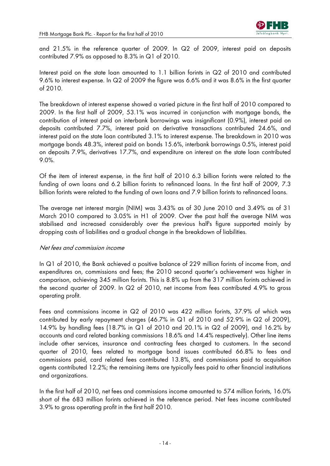

and 21.5% in the reference quarter of 2009. In Q2 of 2009, interest paid on deposits contributed 7.9% as opposed to 8.3% in Q1 of 2010.

Interest paid on the state loan amounted to 1.1 billion forints in Q2 of 2010 and contributed 9.6% to interest expense. In Q2 of 2009 the figure was 6.6% and it was 8.6% in the first quarter of 2010.

The breakdown of interest expense showed a varied picture in the first half of 2010 compared to 2009. In the first half of 2009, 53.1% was incurred in conjunction with mortgage bonds, the contribution of interest paid on interbank borrowings was insignificant (0.9%), interest paid on deposits contributed 7.7%, interest paid on derivative transactions contributed 24.6%, and interest paid on the state loan contributed 3.1% to interest expense. The breakdown in 2010 was mortgage bonds 48.3%, interest paid on bonds 15.6%, interbank borrowings 0.5%, interest paid on deposits 7.9%, derivatives 17.7%, and expenditure on interest on the state loan contributed 9.0%.

Of the item of interest expense, in the first half of 2010 6.3 billion forints were related to the funding of own loans and 6.2 billion forints to refinanced loans. In the first half of 2009, 7.3 billion forints were related to the funding of own loans and 7.9 billion forints to refinanced loans.

The average net interest margin (NIM) was 3.43% as of 30 June 2010 and 3.49% as of 31 March 2010 compared to 3.05% in H1 of 2009. Over the past half the average NIM was stabilised and increased considerably over the previous half's figure supported mainly by dropping costs of liabilities and a gradual change in the breakdown of liabilities.

#### Net fees and commission income

In Q1 of 2010, the Bank achieved a positive balance of 229 million forints of income from, and expenditures on, commissions and fees; the 2010 second quarter's achievement was higher in comparison, achieving 345 million forints. This is 8.8% up from the 317 million forints achieved in the second quarter of 2009. In Q2 of 2010, net income from fees contributed 4.9% to gross operating profit.

Fees and commissions income in Q2 of 2010 was 422 million forints, 37.9% of which was contributed by early repayment charges (46.7% in Q1 of 2010 and 52.9% in Q2 of 2009), 14.9% by handling fees (18.7% in Q1 of 2010 and 20.1% in Q2 of 2009), and 16.2% by accounts and card related banking commissions 18.6% and 14.4% respectively). Other line items include other services, insurance and contracting fees charged to customers. In the second quarter of 2010, fees related to mortgage bond issues contributed 66.8% to fees and commissions paid, card related fees contributed 13.8%, and commissions paid to acquisition agents contributed 12.2%; the remaining items are typically fees paid to other financial institutions and organizations.

In the first half of 2010, net fees and commissions income amounted to 574 million forints, 16.0% short of the 683 million forints achieved in the reference period. Net fees income contributed 3.9% to gross operating profit in the first half 2010.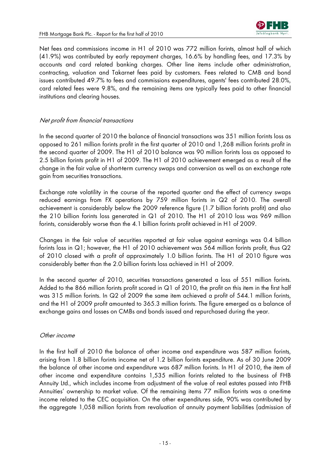

Net fees and commissions income in H1 of 2010 was 772 million forints, almost half of which (41.9%) was contributed by early repayment charges, 16.6% by handling fees, and 17.3% by accounts and card related banking charges. Other line items include other administration, contracting, valuation and Takarnet fees paid by customers. Fees related to CMB and bond issues contributed 49.7% to fees and commissions expenditures, agents' fees contributed 28.0%, card related fees were 9.8%, and the remaining items are typically fees paid to other financial institutions and clearing houses.

## Net profit from financial transactions

In the second quarter of 2010 the balance of financial transactions was 351 million forints loss as opposed to 261 million forints profit in the first quarter of 2010 and 1,268 million forints profit in the second quarter of 2009. The H1 of 2010 balance was 90 million forints loss as opposed to 2.5 billion forints profit in H1 of 2009. The H1 of 2010 achievement emerged as a result of the change in the fair value of short-term currency swaps and conversion as well as an exchange rate gain from securities transactions.

Exchange rate volatility in the course of the reported quarter and the effect of currency swaps reduced earnings from FX operations by 759 million forints in Q2 of 2010. The overall achievement is considerably below the 2009 reference figure (1.7 billion forints profit) and also the 210 billion forints loss generated in Q1 of 2010. The H1 of 2010 loss was 969 million forints, considerably worse than the 4.1 billion forints profit achieved in H1 of 2009.

Changes in the fair value of securities reported at fair value against earnings was 0.4 billion forints loss in Q1; however, the H1 of 2010 achievement was 564 million forints profit, thus Q2 of 2010 closed with a profit of approximately 1.0 billion forints. The H1 of 2010 figure was considerably better than the 2.0 billion forints loss achieved in H1 of 2009.

In the second quarter of 2010, securities transactions generated a loss of 551 million forints. Added to the 866 million forints profit scored in Q1 of 2010, the profit on this item in the first half was 315 million forints. In Q2 of 2009 the same item achieved a profit of 544.1 million forints, and the H1 of 2009 profit amounted to 365.3 million forints. The figure emerged as a balance of exchange gains and losses on CMBs and bonds issued and repurchased during the year.

#### Other income

In the first half of 2010 the balance of other income and expenditure was 587 million forints, arising from 1.8 billion forints income net of 1.2 billion forints expenditure. As of 30 June 2009 the balance of other income and expenditure was 687 million forints. In H1 of 2010, the item of other income and expenditure contains 1,535 million forints related to the business of FHB Annuity Ltd., which includes income from adjustment of the value of real estates passed into FHB Annuities' ownership to market value. Of the remaining items 77 million forints was a one-time income related to the CEC acquisition. On the other expenditures side, 90% was contributed by the aggregate 1,058 million forints from revaluation of annuity payment liabilities (admission of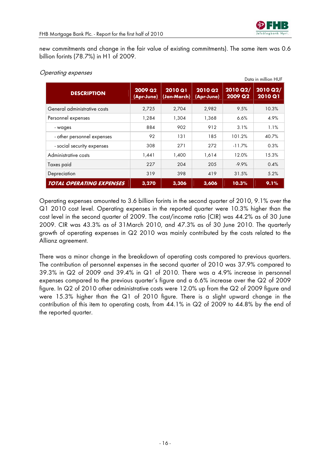

new commitments and change in the fair value of existing commitments). The same item was 0.6 billion forints (78.7%) in H1 of 2009.

|                                 |                              |                               |                              |                     | Data in million HUF        |
|---------------------------------|------------------------------|-------------------------------|------------------------------|---------------------|----------------------------|
| <b>DESCRIPTION</b>              | <b>2009 Q2</b><br>(Apr-June) | <b>2010 Q1</b><br>(Jan-March) | <b>2010 Q2</b><br>(Apr-June) | 2010 Q2/<br>2009 Q2 | 2010 Q2/<br><b>2010 Q1</b> |
| General administrative costs    | 2,725                        | 2,704                         | 2,982                        | 9.5%                | 10.3%                      |
| Personnel expenses              | 1,284                        | 1,304                         | 1,368                        | 6.6%                | 4.9%                       |
| - wages                         | 884                          | 902                           | 912                          | 3.1%                | 1.1%                       |
| - other personnel expenses      | 92                           | 131                           | 185                          | 101.2%              | 40.7%                      |
| - social security expenses      | 308                          | 271                           | 272                          | $-11.7\%$           | 0.3%                       |
| Administrative costs            | 1,441                        | 1,400                         | 1,614                        | 12.0%               | 15.3%                      |
| Taxes paid                      | 227                          | 204                           | 205                          | $-9.9%$             | 0.4%                       |
| Depreciation                    | 319                          | 398                           | 419                          | 31.5%               | 5.2%                       |
| <b>TOTAL OPERATING EXPENSES</b> | 3,270                        | 3,306                         | 3,606                        | 10.3%               | 9.1%                       |

# Operating expenses

Operating expenses amounted to 3.6 billion forints in the second quarter of 2010, 9.1% over the Q1 2010 cost level. Operating expenses in the reported quarter were 10.3% higher than the cost level in the second quarter of 2009. The cost/income ratio (CIR) was 44.2% as of 30 June 2009. CIR was 43.3% as of 31March 2010, and 47.3% as of 30 June 2010. The quarterly growth of operating expenses in Q2 2010 was mainly contributed by the costs related to the Allianz agreement.

There was a minor change in the breakdown of operating costs compared to previous quarters. The contribution of personnel expenses in the second quarter of 2010 was 37.9% compared to 39.3% in Q2 of 2009 and 39.4% in Q1 of 2010. There was a 4.9% increase in personnel expenses compared to the previous quarter's figure and a 6.6% increase over the Q2 of 2009 figure. In Q2 of 2010 other administrative costs were 12.0% up from the Q2 of 2009 figure and were 15.3% higher than the Q1 of 2010 figure. There is a slight upward change in the contribution of this item to operating costs, from 44.1% in Q2 of 2009 to 44.8% by the end of the reported quarter.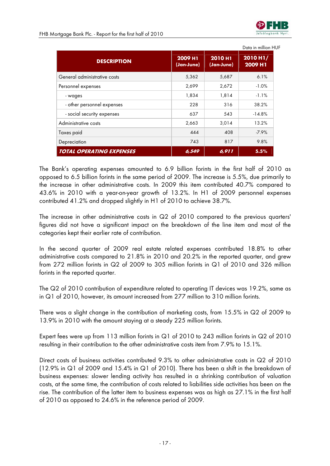

|                                 |                       |                              | Data in million HUF |
|---------------------------------|-----------------------|------------------------------|---------------------|
| <b>DESCRIPTION</b>              | 2009 H1<br>(Jan-June) | <b>2010 H1</b><br>(Jan-June) | 2010 H1/<br>2009 H1 |
| General administrative costs    | 5,362                 | 5,687                        | 6.1%                |
| Personnel expenses              | 2,699                 | 2,672                        | $-1.0%$             |
| - wages                         | 1,834                 | 1,814                        | $-1.1%$             |
| - other personnel expenses      | 228                   | 316                          | 38.2%               |
| - social security expenses      | 637                   | 543                          | $-14.8%$            |
| Administrative costs            | 2,663                 | 3,014                        | 13.2%               |
| Taxes paid                      | 444                   | 408                          | $-7.9%$             |
| Depreciation                    | 743                   | 817                          | 9.8%                |
| <b>TOTAL OPERATING EXPENSES</b> | 6,549                 | 6,911                        | 5.5%                |

The Bank's operating expenses amounted to 6.9 billion forints in the first half of 2010 as opposed to 6.5 billion forints in the same period of 2009. The increase is 5.5%, due primarily to the increase in other administrative costs. In 2009 this item contributed 40.7% compared to 43.6% in 2010 with a year-on-year growth of 13.2%. In H1 of 2009 personnel expenses contributed 41.2% and dropped slightly in H1 of 2010 to achieve 38.7%.

The increase in other administrative costs in Q2 of 2010 compared to the previous quarters' figures did not have a significant impact on the breakdown of the line item and most of the categories kept their earlier rate of contribution.

In the second quarter of 2009 real estate related expenses contributed 18.8% to other administrative costs compared to 21.8% in 2010 and 20.2% in the reported quarter, and grew from 272 million forints in Q2 of 2009 to 305 million forints in Q1 of 2010 and 326 million forints in the reported quarter.

The Q2 of 2010 contribution of expenditure related to operating IT devices was 19.2%, same as in Q1 of 2010, however, its amount increased from 277 million to 310 million forints.

There was a slight change in the contribution of marketing costs, from 15.5% in Q2 of 2009 to 13.9% in 2010 with the amount staying at a steady 225 million forints.

Expert fees were up from 113 million forints in Q1 of 2010 to 243 million forints in Q2 of 2010 resulting in their contribution to the other administrative costs item from 7.9% to 15.1%.

Direct costs of business activities contributed 9.3% to other administrative costs in Q2 of 2010 (12.9% in Q1 of 2009 and 15.4% in Q1 of 2010). There has been a shift in the breakdown of business expenses: slower lending activity has resulted in a shrinking contribution of valuation costs, at the same time, the contribution of costs related to liabilities side activities has been on the rise. The contribution of the latter item to business expenses was as high as 27.1% in the first half of 2010 as opposed to 24.6% in the reference period of 2009.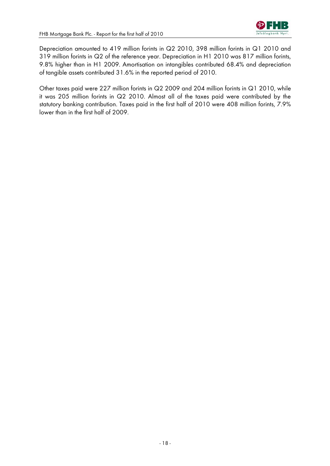Depreciation amounted to 419 million forints in Q2 2010, 398 million forints in Q1 2010 and 319 million forints in Q2 of the reference year. Depreciation in H1 2010 was 817 million forints, 9.8% higher than in H1 2009. Amortisation on intangibles contributed 68.4% and depreciation of tangible assets contributed 31.6% in the reported period of 2010.

Other taxes paid were 227 million forints in Q2 2009 and 204 million forints in Q1 2010, while it was 205 million forints in Q2 2010. Almost all of the taxes paid were contributed by the statutory banking contribution. Taxes paid in the first half of 2010 were 408 million forints, 7.9% lower than in the first half of 2009.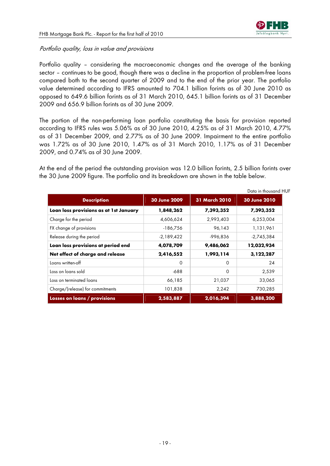

# Portfolio quality, loss in value and provisions

Portfolio quality – considering the macroeconomic changes and the average of the banking sector – continues to be good, though there was a decline in the proportion of problem-free loans compared both to the second quarter of 2009 and to the end of the prior year. The portfolio value determined according to IFRS amounted to 704.1 billion forints as of 30 June 2010 as opposed to 649.6 billion forints as of 31 March 2010, 645.1 billion forints as of 31 December 2009 and 656.9 billion forints as of 30 June 2009.

The portion of the non-performing loan portfolio constituting the basis for provision reported according to IFRS rules was 5.06% as of 30 June 2010, 4.25% as of 31 March 2010, 4.77% as of 31 December 2009, and 2.77% as of 30 June 2009. Impairment to the entire portfolio was 1.72% as of 30 June 2010, 1.47% as of 31 March 2010, 1.17% as of 31 December 2009, and 0.74% as of 30 June 2009.

At the end of the period the outstanding provision was 12.0 billion forints, 2.5 billion forints over the 30 June 2009 figure. The portfolio and its breakdown are shown in the table below.

|                                        |              |               | Data in thousand HUF |
|----------------------------------------|--------------|---------------|----------------------|
| <b>Description</b>                     | 30 June 2009 | 31 March 2010 | 30 June 2010         |
| Loan loss provisions as at 1st January | 1,848,262    | 7,393,352     | 7,393,352            |
| Charge for the period                  | 4,606,624    | 2,993,403     | 6,253,004            |
| FX change of provisions                | $-186,756$   | 96,143        | 1,131,961            |
| Release during the period              | $-2,189,422$ | -996,836      | $-2,745,384$         |
| Loan loss provisions at period end     | 4,078,709    | 9,486,062     | 12,032,934           |
| Net effect of charge and release       | 2,416,552    | 1,993,114     | 3,122,287            |
| Loans written-off                      | $\circ$      | $\Omega$      | 24                   |
| Loss on loans sold                     | $-688$       | $\Omega$      | 2,539                |
| Loss on terminated loans               | 66,185       | 21,037        | 33,065               |
| Charge/(release) for commitments       | 101,838      | 2,242         | 730,285              |
| Losses on loans / provisions           | 2,583,887    | 2,016,394     | 3,888,200            |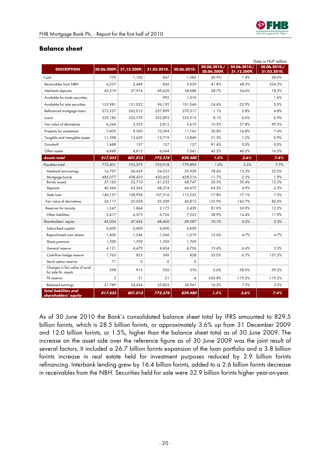

# **Balance sheet**

|                                                         |             |             |             |             |                             |                             | Data in HUF million         |
|---------------------------------------------------------|-------------|-------------|-------------|-------------|-----------------------------|-----------------------------|-----------------------------|
| <b>DESCRIPTION</b>                                      | 30.06.2009. | 31.12.2009. | 31.03.2010. | 30.06.2010. | 30.06.2010./<br>30.06.2009. | 30.06.2010./<br>31.12.2009. | 30.06.2010./<br>31.03.2010. |
| Cash                                                    | 770         | 1.100       | 847         | 1.085       | 40.9%                       | $-1.4%$                     | 28.0%                       |
| Receivables from NBH                                    | 6,237       | 2,449       | 836         | 3,629       | $-41.8%$                    | 48.2%                       | 334.3%                      |
| Interbank deposits                                      | 42,319      | 37,974      | 49,620      | 58,688      | 38.7%                       | 54.6%                       | 18.3%                       |
| Available for trade securities                          |             |             | 995         | 1,010       |                             |                             | 1.6%                        |
| Available for sale securities                           | 133,981     | 131,022     | 96,192      | 101,046     | $-24.6%$                    | $-22.9%$                    | 5.0%                        |
| Refinanced mortgage loans                               | 273,237     | 263,015     | 257,899     | 270,317     | $-1.1%$                     | 2.8%                        | 4.8%                        |
| Loans                                                   | 329,185     | 333,759     | 332,893     | 355,913     | 8.1%                        | 6.6%                        | 6.9%                        |
| Fair value of derivatives                               | 6,266       | 3,555       | 2,812       | 5,610       | $-10.5%$                    | 57.8%                       | 99.5%                       |
| Property for investment                                 | 7,405       | 9,560       | 10,394      | 11,165      | 50.8%                       | 16.8%                       | 7.4%                        |
| Tangible and intangible assets                          | 11,398      | 13,639      | 13,719      | 13,849      | 21.5%                       | 1.5%                        | 0.9%                        |
| Goodwill                                                | 1,488       | 127         | 127         | 127         | $-91.4%$                    | 0.0%                        | 0.0%                        |
| Other assets                                            | 4,849       | 4,815       | 6,044       | 7,041       | 45.2%                       | 46.2%                       | 16.5%                       |
| <b>Assets total</b>                                     | 817,455     | 801,015     | 772,378     | 829,480     | 1.5%                        | 3.6%                        | 7.4%                        |
| Payables total                                          | 772,401     | 753,579     | 723,918     | 779,893     | 1.0%                        | 3.5%                        | 7.7%                        |
| Interbank borrowings                                    | 16,757      | 26,429      | 24,533      | 29,930      | 78.6%                       | 13.3%                       | 22.0%                       |
| Mortgage bonds                                          | 485,077     | 438,423     | 420,455     | 428,516     | $-11.7%$                    | $-2.3%$                     | 1.9%                        |
| <b>Bonds</b> issued                                     | 57,165      | 52,710      | 61,232      | 68,747      | 20.3%                       | 30.4%                       | 12.3%                       |
| Deposits                                                | 40,364      | 63,562      | 68,274      | 66,672      | 65.2%                       | 4.9%                        | $-2.3%$                     |
| State loan                                              | 140,157     | 138,958     | 107,216     | 115,253     | $-17.8%$                    | $-17.1%$                    | 7.5%                        |
| Fair value of derivatives                               | 26,117      | 25.058      | 33,309      | 60,813      | 132.9%                      | 142.7%                      | 82.6%                       |
| Reserves for annuity                                    | 1,347       | 1,864       | 2,173       | 2,439       | 81.0%                       | 30.9%                       | 12.2%                       |
| Other liabilities                                       | 5,417       | 6,575       | 6,726       | 7,523       | 38.9%                       | 14.4%                       | 11.9%                       |
| Shareholders' equity                                    | 45,054      | 47,436      | 48,460      | 49,587      | 10.1%                       | 4.5%                        | 2.3%                        |
| Subscribed capital                                      | 6,600       | 6,600       | 6,600       | 6,600       |                             |                             |                             |
| Repurchased own shares                                  | $-1,400$    | $-1,546$    | $-1,546$    | $-1,619$    | 15.6%                       | 4.7%                        | 4.7%                        |
| Share premium                                           | 1,709       | 1,709       | 1,709       | 1,709       |                             |                             |                             |
| General reserve                                         | 4,121       | 4,470       | 4,604       | 4,756       | 15.4%                       | 6.4%                        | 3.3%                        |
| Cash-flow hedge reserve                                 | 1,763       | 833         | 349         | 828         | $-53.0%$                    | $-0.7%$                     | 137.2%                      |
| Stock option reserve                                    | 71          | $\Omega$    | $\Omega$    | $\circ$     | L,                          |                             | L,                          |
| Changes in fair value of avail.<br>for sale fin. assets | 398         | 915         | 920         | 376         | $-5.6%$                     | $-58.9%$                    | $-59.2%$                    |
| FX reserve                                              | 3           | 21          | 21          | $-4$        | $-230.8%$                   | $-119.2%$                   | $-119.2%$                   |
| Retained earnings                                       | 31,789      | 34,434      | 35,803      | 36,941      | 16.2%                       | 7.3%                        | 3.2%                        |
| <b>Total liabilities and</b><br>shareholders' equity    | 817,455     | 801,015     | 772,378     | 829,480     | 1.5%                        | 3.6%                        | 7.4%                        |

As of 30 June 2010 the Bank's consolidated balance sheet total by IFRS amounted to 829.5 billion forints, which is 28.5 billion forints, or approximately 3.6% up from 31 December 2009 and 12.0 billion forints, or 1.5%, higher than the balance sheet total as of 30 June 2009. The increase on the asset side over the reference figure as of 30 June 2009 was the joint result of several factors. It included a 26.7 billion forints expansion of the loan portfolio and a 3.8 billion forints increase in real estate held for investment purposes reduced by 2.9 billion forints refinancing. Interbank lending grew by 16.4 billion forints, added to a 2.6 billion forints decrease in receivables from the NBH. Securities held for sale were 32.9 billion forints higher year-on-year.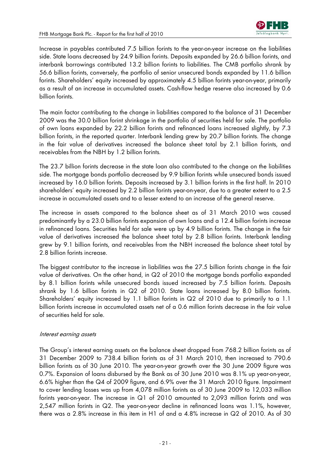

Increase in payables contributed 7.5 billion forints to the year-on-year increase on the liabilities side. State loans decreased by 24.9 billion forints. Deposits expanded by 26.6 billion forints, and interbank borrowings contributed 13.2 billion forints to liabilities. The CMB portfolio shrank by 56.6 billion forints, conversely, the portfolio of senior unsecured bonds expanded by 11.6 billion forints. Shareholders' equity increased by approximately 4.5 billion forints year-on-year, primarily as a result of an increase in accumulated assets. Cash-flow hedge reserve also increased by 0.6 billion forints.

The main factor contributing to the change in liabilities compared to the balance of 31 December 2009 was the 30.0 billion forint shrinkage in the portfolio of securities held for sale. The portfolio of own loans expanded by 22.2 billion forints and refinanced loans increased slightly, by 7.3 billion forints, in the reported quarter. Interbank lending grew by 20.7 billion forints. The change in the fair value of derivatives increased the balance sheet total by 2.1 billion forints, and receivables from the NBH by 1.2 billion forints.

The 23.7 billion forints decrease in the state loan also contributed to the change on the liabilities side. The mortgage bonds portfolio decreased by 9.9 billion forints while unsecured bonds issued increased by 16.0 billion forints. Deposits increased by 3.1 billion forints in the first half. In 2010 shareholders' equity increased by 2.2 billion forints year-on-year, due to a greater extent to a 2.5 increase in accumulated assets and to a lesser extend to an increase of the general reserve.

The increase in assets compared to the balance sheet as of 31 March 2010 was caused predominantly by a 23.0 billion forints expansion of own loans and a 12.4 billion forints increase in refinanced loans. Securities held for sale were up by 4.9 billion forints. The change in the fair value of derivatives increased the balance sheet total by 2.8 billion forints. Interbank lending grew by 9.1 billion forints, and receivables from the NBH increased the balance sheet total by 2.8 billion forints increase.

The biggest contributor to the increase in liabilities was the 27.5 billion forints change in the fair value of derivatives. On the other hand, in Q2 of 2010 the mortgage bonds portfolio expanded by 8.1 billion forints while unsecured bonds issued increased by 7.5 billion forints. Deposits shrank by 1.6 billion forints in Q2 of 2010. State loans increased by 8.0 billion forints. Shareholders' equity increased by 1.1 billion forints in Q2 of 2010 due to primarily to a 1.1 billion forints increase in accumulated assets net of a 0.6 million forints decrease in the fair value of securities held for sale.

#### Interest earning assets

The Group's interest earning assets on the balance sheet dropped from 768.2 billion forints as of 31 December 2009 to 738.4 billion forints as of 31 March 2010, then increased to 790.6 billion forints as of 30 June 2010. The year-on-year growth over the 30 June 2009 figure was 0.7%. Expansion of loans disbursed by the Bank as of 30 June 2010 was 8.1% up year-on-year, 6.6% higher than the Q4 of 2009 figure, and 6.9% over the 31 March 2010 figure. Impairment to cover lending losses was up from 4,078 million forints as of 30 June 2009 to 12,033 million forints year-on-year. The increase in Q1 of 2010 amounted to 2,093 million forints and was 2,547 million forints in Q2. The year-on-year decline in refinanced loans was 1.1%, however, there was a 2.8% increase in this item in H1 of and a 4.8% increase in Q2 of 2010. As of 30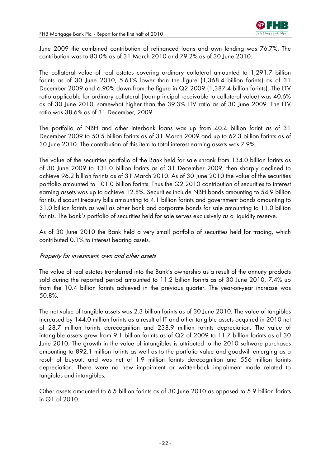

June 2009 the combined contribution of refinanced loans and own lending was 76.7%. The contribution was to 80.0% as of 31 March 2010 and 79.2% as of 30 June 2010.

The collateral value of real estates covering ordinary collateral amounted to 1,291.7 billion forints as of 30 June 2010, 5.61% lower than the figure (1,368.4 billion forints) as of 31 December 2009 and 6.90% down from the figure in Q2 2009 (1,387.4 billion forints). The LTV ratio applicable for ordinary collateral (loan principal receivable to collateral value) was 40.6% as of 30 June 2010, somewhat higher than the 39.3% LTV ratio as of 30 June 2009. The LTV ratio was 38.6% as of 31 December, 2009.

The portfolio of NBH and other interbank loans was up from 40.4 billion forint as of 31 December 2009 to 50.5 billion forints as of 31 March 2009 and up to 62.3 billion forints as of 30 June 2010. The contribution of this item to total interest earning assets was 7.9%.

The value of the securities portfolio of the Bank held for sale shrank from 134.0 billion forints as of 30 June 2009 to 131.0 billion forints as of 31 December 2009, then sharply declined to achieve 96.2 billion forints as of 31 March 2010. As of 30 June 2010 the value of the securities portfolio amounted to 101.0 billion forints. Thus the Q2 2010 contribution of securities to interest earning assets was up to achieve 12.8%. Securities include NBH bonds amounting to 54.9 billion forints, discount treasury bills amounting to 4.1 billion forints and government bonds amounting to 31.0 billion forints as well as other bank and corporate bonds for sale amounting to 11.0 billion forints. The Bank's portfolio of securities held for sale serves exclusively as a liquidity reserve.

As of 30 June 2010 the Bank held a very small portfolio of securities held for trading, which contributed 0.1% to interest bearing assets.

#### Property for investment, own and other assets

The value of real estates transferred into the Bank's ownership as a result of the annuity products sold during the reported period amounted to 11.2 billion forints as of 30 June 2010, 7.4% up from the 10.4 billion forints achieved in the previous quarter. The year-on-year increase was 50.8%.

The net value of tangible assets was 2.3 billion forints as of 30 June 2010. The value of tangibles increased by 144.0 million forints as a result of IT and other tangible assets acquired in 2010 net of 28.7 million forints derecognition and 238.9 million forints depreciation. The value of intangible assets grew from 9.1 billion forints as of Q2 of 2009 to 11.7 billion forints as of 30 June 2010. The growth in the value of intangibles is attributed to the 2010 software purchases amounting to 892.1 million forints as well as to the portfolio value and goodwill emerging as a result of buyout, and was net of 1.9 million forints derecognition and 556 million forints depreciation. There were no new impairment or written-back impairment made related to tangibles and intangibles.

Other assets amounted to 6.5 billion forints as of 30 June 2010 as opposed to 5.9 billion forints in Q1 of 2010.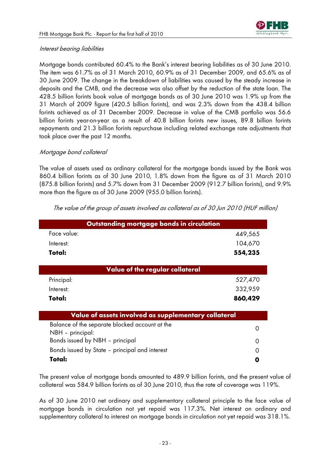# Interest bearing liabilities

Mortgage bonds contributed 60.4% to the Bank's interest bearing liabilities as of 30 June 2010. The item was 61.7% as of 31 March 2010, 60.9% as of 31 December 2009, and 65.6% as of 30 June 2009. The change in the breakdown of liabilities was caused by the steady increase in deposits and the CMB, and the decrease was also offset by the reduction of the state loan. The 428.5 billion forints book value of mortgage bonds as of 30 June 2010 was 1.9% up from the 31 March of 2009 figure (420.5 billion forints), and was 2.3% down from the 438.4 billion forints achieved as of 31 December 2009. Decrease in value of the CMB portfolio was 56.6 billion forints year-on-year as a result of 40.8 billion forints new issues, 89.8 billion forints repayments and 21.3 billion forints repurchase including related exchange rate adjustments that took place over the past 12 months.

# Mortgage bond collateral

The value of assets used as ordinary collateral for the mortgage bonds issued by the Bank was 860.4 billion forints as of 30 June 2010, 1.8% down from the figure as of 31 March 2010 (875.8 billion forints) and 5.7% down from 31 December 2009 (912.7 billion forints), and 9.9% more than the figure as of 30 June 2009 (955.0 billion forints).

| Outstanding mortgage bonds in circulation                          |         |
|--------------------------------------------------------------------|---------|
| Face value:                                                        | 449,565 |
| Interest:                                                          | 104,670 |
| Total:                                                             | 554,235 |
| Value of the regular collateral                                    |         |
| Principal:                                                         | 527,470 |
| Interest:                                                          | 332,959 |
| Total:                                                             | 860,429 |
| Value of assets involved as supplementary collateral               |         |
| Balance of the separate blocked account at the<br>NBH - principal: | ∩       |
| Bonds issued by NBH - principal                                    | Ω       |
| Bonds issued by State - principal and interest                     |         |
| Total:                                                             |         |

The value of the group of assets involved as collateral as of 30 Jun 2010 (HUF million)

The present value of mortgage bonds amounted to 489.9 billion forints, and the present value of collateral was 584.9 billion forints as of 30 June 2010, thus the rate of coverage was 119%.

As of 30 June 2010 net ordinary and supplementary collateral principle to the face value of mortgage bonds in circulation not yet repaid was 117.3%. Net interest on ordinary and supplementary collateral to interest on mortgage bonds in circulation not yet repaid was 318.1%.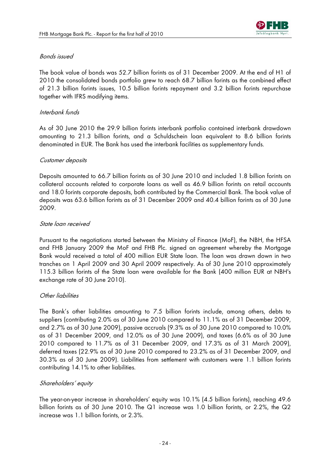

# Bonds issued

The book value of bonds was 52.7 billion forints as of 31 December 2009. At the end of H1 of 2010 the consolidated bonds portfolio grew to reach 68.7 billion forints as the combined effect of 21.3 billion forints issues, 10.5 billion forints repayment and 3.2 billion forints repurchase together with IFRS modifying items.

# Interbank funds

As of 30 June 2010 the 29.9 billion forints interbank portfolio contained interbank drawdown amounting to 21.3 billion forints, and a Schuldschein loan equivalent to 8.6 billion forints denominated in EUR. The Bank has used the interbank facilities as supplementary funds.

## Customer deposits

Deposits amounted to 66.7 billion forints as of 30 June 2010 and included 1.8 billion forints on collateral accounts related to corporate loans as well as 46.9 billion forints on retail accounts and 18.0 forints corporate deposits, both contributed by the Commercial Bank. The book value of deposits was 63.6 billion forints as of 31 December 2009 and 40.4 billion forints as of 30 June 2009.

# State loan received

Pursuant to the negotiations started between the Ministry of Finance (MoF), the NBH, the HFSA and FHB January 2009 the MoF and FHB Plc. signed an agreement whereby the Mortgage Bank would received a total of 400 million EUR State loan. The loan was drawn down in two tranches on 1 April 2009 and 30 April 2009 respectively. As of 30 June 2010 approximately 115.3 billion forints of the State loan were available for the Bank (400 million EUR at NBH's exchange rate of 30 June 2010).

# Other liabilities

The Bank's other liabilities amounting to 7.5 billion forints include, among others, debts to suppliers (contributing 2.0% as of 30 June 2010 compared to 11.1% as of 31 December 2009, and 2.7% as of 30 June 2009), passive accruals (9.3% as of 30 June 2010 compared to 10.0% as of 31 December 2009, and 12.0% as of 30 June 2009), and taxes (6.6% as of 30 June 2010 compared to 11.7% as of 31 December 2009, and 17.3% as of 31 March 2009), deferred taxes (22.9% as of 30 June 2010 compared to 23.2% as of 31 December 2009, and 30.3% as of 30 June 2009). Liabilities from settlement with customers were 1.1 billion forints contributing 14.1% to other liabilities.

# Shareholders' equity

The year-on-year increase in shareholders' equity was 10.1% (4.5 billion forints), reaching 49.6 billion forints as of 30 June 2010. The Q1 increase was 1.0 billion forints, or 2.2%, the Q2 increase was 1.1 billion forints, or 2.3%.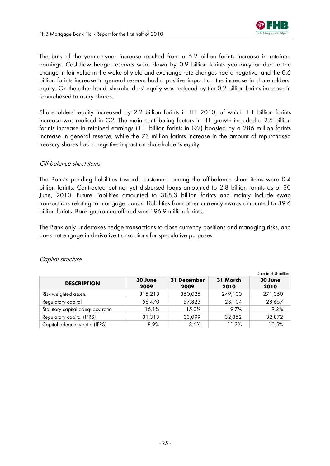

The bulk of the year-on-year increase resulted from a 5.2 billion forints increase in retained earnings. Cash-flow hedge reserves were down by 0.9 billion forints year-on-year due to the change in fair value in the wake of yield and exchange rate changes had a negative, and the 0.6 billion forints increase in general reserve had a positive impact on the increase in shareholders' equity. On the other hand, shareholders' equity was reduced by the 0,2 billion forints increase in repurchased treasury shares.

Shareholders' equity increased by 2.2 billion forints in H1 2010, of which 1.1 billion forints increase was realised in Q2. The main contributing factors in H1 growth included a 2.5 billion forints increase in retained earnings (1.1 billion forints in Q2) boosted by a 286 million forints increase in general reserve, while the 73 million forints increase in the amount of repurchased treasury shares had a negative impact on shareholder's equity.

## Off balance sheet items

The Bank's pending liabilities towards customers among the off-balance sheet items were 0.4 billion forints. Contracted but not yet disbursed loans amounted to 2.8 billion forints as of 30 June, 2010. Future liabilities amounted to 388.3 billion forints and mainly include swap transactions relating to mortgage bonds. Liabilities from other currency swaps amounted to 39.6 billion forints. Bank guarantee offered was 196.9 million forints.

The Bank only undertakes hedge transactions to close currency positions and managing risks, and does not engage in derivative transactions for speculative purposes.

|                                  |                 |                     |                  | Data in HUF million |
|----------------------------------|-----------------|---------------------|------------------|---------------------|
| <b>DESCRIPTION</b>               | 30 June<br>2009 | 31 December<br>2009 | 31 March<br>2010 | 30 June<br>2010     |
| Risk weighted assets             | 315,213         | 350,025             | 249,100          | 271,350             |
| Regulatory capital               | 56,470          | 57,823              | 28,104           | 28,657              |
| Statutory capital adequacy ratio | 16.1%           | 15.0%               | 9.7%             | 9.2%                |
| Regulatory capital (IFRS)        | 31,313          | 33,099              | 32,852           | 32,872              |
| Capital adequacy ratio (IFRS)    | 8.9%            | 8.6%                | 11.3%            | 10.5%               |

#### Capital structure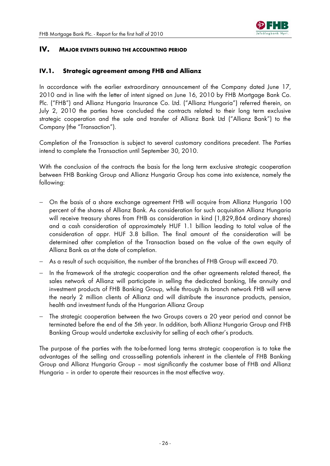

# **IV. MAJOR EVENTS DURING THE ACCOUNTING PERIOD**

# **IV.1. Strategic agreement among FHB and Allianz**

In accordance with the earlier extraordinary announcement of the Company dated June 17, 2010 and in line with the letter of intent signed on June 16, 2010 by FHB Mortgage Bank Co. Plc. ("FHB") and Allianz Hungaria Insurance Co. Ltd. ("Allianz Hungaria") referred therein, on July 2, 2010 the parties have concluded the contracts related to their long term exclusive strategic cooperation and the sale and transfer of Allianz Bank Ltd ("Allianz Bank") to the Company (the "Transaction").

Completion of the Transaction is subject to several customary conditions precedent. The Parties intend to complete the Transaction until September 30, 2010.

With the conclusion of the contracts the basis for the long term exclusive strategic cooperation between FHB Banking Group and Allianz Hungaria Group has come into existence, namely the following:

- − On the basis of a share exchange agreement FHB will acquire from Allianz Hungaria 100 percent of the shares of Allianz Bank. As consideration for such acquisition Allianz Hungaria will receive treasury shares from FHB as consideration in kind (1,829,864 ordinary shares) and a cash consideration of approximately HUF 1.1 billion leading to total value of the consideration of appr. HUF 3.8 billion. The final amount of the consideration will be determined after completion of the Transaction based on the value of the own equity of Allianz Bank as at the date of completion.
- − As a result of such acquisition, the number of the branches of FHB Group will exceed 70.
- − In the framework of the strategic cooperation and the other agreements related thereof, the sales network of Allianz will participate in selling the dedicated banking, life annuity and investment products of FHB Banking Group, while through its branch network FHB will serve the nearly 2 million clients of Allianz and will distribute the insurance products, pension, health and investment funds of the Hungarian Allianz Group
- The strategic cooperation between the two Groups covers a 20 year period and cannot be terminated before the end of the 5th year. In addition, both Allianz Hungaria Group and FHB Banking Group would undertake exclusivity for selling of each other's products.

The purpose of the parties with the to-be-formed long terms strategic cooperation is to take the advantages of the selling and cross-selling potentials inherent in the clientele of FHB Banking Group and Allianz Hungaria Group – most significantly the costumer base of FHB and Allianz Hungaria – in order to operate their resources in the most effective way.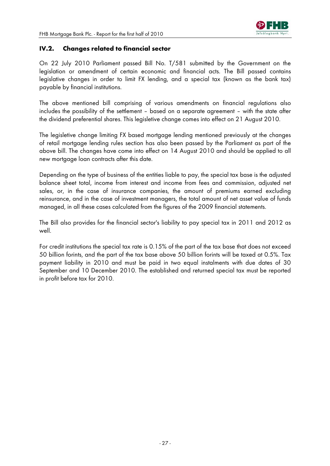

# **IV.2. Changes related to financial sector**

On 22 July 2010 Parliament passed Bill No. T/581 submitted by the Government on the legislation or amendment of certain economic and financial acts. The Bill passed contains legislative changes in order to limit FX lending, and a special tax (known as the bank tax) payable by financial institutions.

The above mentioned bill comprising of various amendments on financial regulations also includes the possibility of the settlement – based on a separate agreement – with the state after the dividend preferential shares. This legisletive change comes into effect on 21 August 2010.

The legisletive change limiting FX based mortgage lending mentioned previously at the changes of retail mortgage lending rules section has also been passed by the Parliament as part of the above bill. The changes have come into effect on 14 August 2010 and should be applied to all new mortgage loan contracts after this date.

Depending on the type of business of the entities liable to pay, the special tax base is the adjusted balance sheet total, income from interest and income from fees and commission, adjusted net sales, or, in the case of insurance companies, the amount of premiums earned excluding reinsurance, and in the case of investment managers, the total amount of net asset value of funds managed, in all these cases calculated from the figures of the 2009 financial statements.

The Bill also provides for the financial sector's liability to pay special tax in 2011 and 2012 as well.

For credit institutions the special tax rate is 0.15% of the part of the tax base that does not exceed 50 billion forints, and the part of the tax base above 50 billion forints will be taxed at 0.5%. Tax payment liability in 2010 and must be paid in two equal instalments with due dates of 30 September and 10 December 2010. The established and returned special tax must be reported in profit before tax for 2010.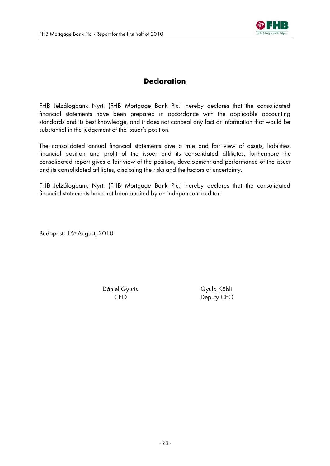

# **Declaration**

FHB Jelzálogbank Nyrt. (FHB Mortgage Bank Plc.) hereby declares that the consolidated financial statements have been prepared in accordance with the applicable accounting standards and its best knowledge, and it does not conceal any fact or information that would be substantial in the judgement of the issuer's position.

The consolidated annual financial statements give a true and fair view of assets, liabilities, financial position and profit of the issuer and its consolidated affiliates, furthermore the consolidated report gives a fair view of the position, development and performance of the issuer and its consolidated affiliates, disclosing the risks and the factors of uncertainty.

FHB Jelzálogbank Nyrt. (FHB Mortgage Bank Plc.) hereby declares that the consolidated financial statements have not been audited by an independent auditor.

Budapest, 16<sup>th</sup> August, 2010

Dániel Gyuris Gyula Köbli

CEO Deputy CEO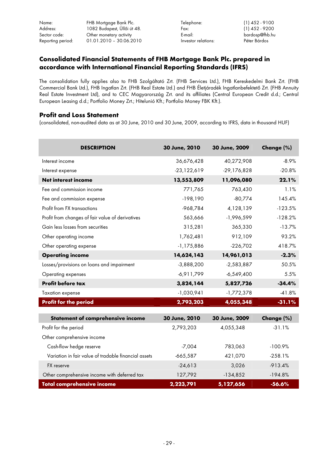Name: FHB Mortgage Bank Plc. Telephone: (1) 452 - 9100 Address: 1082 Budapest, Üllői út 48. Fax: Sector code: Cher monetary activity E-mail: bardosp@fhb.hu endosp@fhb.hu endosp@fhb.hu endosp@fhb.hu endosp@fhb.hu<br>Reporting period: 01.01.2010 - 30.06.2010 1nvestor relations: Péter Bárdos Reporting period: 01.01.2010 - 30.06.2010

# **Consolidated Financial Statements of FHB Mortgage Bank Plc. prepared in accordance with International Financial Reporting Standards (IFRS)**

The consolidation fully applies also to FHB Szolgáltató Zrt. (FHB Services Ltd.), FHB Kereskedelmi Bank Zrt. (FHB Commercial Bank Ltd.), FHB Ingatlan Zrt. (FHB Real Estate Ltd.) and FHB Életjáradék Ingatlanbefektető Zrt. (FHB Annuity Real Estate Investment Ltd), and to CEC Magyarország Zrt. and its affiliates (Central European Credit d.d.; Central European Leasing d.d.; Portfolio Money Zrt.; Hitelunió Kft.; Portfolio Money FBK Kft.).

#### **Profit and Loss Statement**

(consolidated, non-audited data as at 30 June, 2010 and 30 June, 2009, according to IFRS, data in thousand HUF)

| <b>DESCRIPTION</b>                                   | 30 June, 2010 | 30 June, 2009 | Change (%) |
|------------------------------------------------------|---------------|---------------|------------|
| Interest income                                      | 36,676,428    | 40,272,908    | $-8.9%$    |
| Interest expense                                     | $-23,122,619$ | $-29,176,828$ | $-20.8%$   |
| <b>Net interest income</b>                           | 13,553,809    | 11,096,080    | 22.1%      |
| Fee and commission income                            | 771,765       | 763,430       | 1.1%       |
| Fee and commission expense                           | $-198,190$    | $-80,774$     | 145.4%     |
| Profit from FX transactions                          | -968,784      | 4,128,139     | $-123.5%$  |
| Profit from changes of fair value of derivatives     | 563,666       | -1,996,599    | $-128.2%$  |
| Gain less losses from securities                     | 315,281       | 365,330       | $-13.7%$   |
| Other operating income                               | 1,762,481     | 912,109       | 93.2%      |
| Other operating expense                              | $-1,175,886$  | $-226,702$    | 418.7%     |
| <b>Operating income</b>                              | 14,624,143    | 14,961,013    | $-2.3%$    |
| Losses/provisions on loans and impairment            | $-3,888,200$  | $-2,583,887$  | 50.5%      |
| Operating expenses                                   | $-6,911,799$  | $-6,549,400$  | 5.5%       |
| Profit before tax                                    | 3,824,144     | 5,827,726     | $-34.4%$   |
| <b>Taxation expense</b>                              | $-1,030,941$  | $-1,772,378$  | $-41.8%$   |
| <b>Profit for the period</b>                         | 2,793,203     | 4,055,348     | $-31.1%$   |
|                                                      |               |               |            |
| <b>Statement of comprehensive income</b>             | 30 June, 2010 | 30 June, 2009 | Change (%) |
| Profit for the period                                | 2,793,203     | 4,055,348     | $-31.1%$   |
| Other comprehensive income                           |               |               |            |
| Cash-flow hedge reserve                              | $-7,004$      | 783,063       | $-100.9%$  |
| Variation in fair value of tradable financial assets | $-665,587$    | 421,070       | $-258.1%$  |
| FX reserve                                           | $-24,613$     | 3,026         | $-913.4%$  |
| Other comprehensive income with deferred tax         | 127,792       | $-134,852$    | $-194.8%$  |
| <b>Total comprehensive income</b>                    | 2,223,791     | 5,127,656     | $-56.6%$   |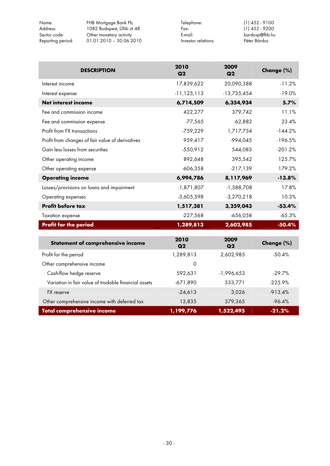| Name:<br>Address: | FHB Mortgage Bank Plc.<br>1082 Budapest, Üllői út 48. | Telephone:<br>Fax:  | $(1)$ 452 - 9100<br>$(1)$ 452 - 9200 |
|-------------------|-------------------------------------------------------|---------------------|--------------------------------------|
| Sector code:      | Other monetary activity                               | E-mail:             | bardosp@fhb.hu                       |
| Reporting period: | $01.01.2010 - 30.06.2010$                             | Investor relations: | Péter Bárdos                         |

| <b>DESCRIPTION</b>                                   | 2010<br>Q2      | 2009<br>Q2    | Change (%) |
|------------------------------------------------------|-----------------|---------------|------------|
| Interest income                                      | 17,839,622      | 20,090,388    | $-11.2%$   |
| Interest expense                                     | $-11, 125, 113$ | $-13,735,454$ | $-19.0%$   |
| <b>Net interest income</b>                           | 6,714,509       | 6,354,934     | 5.7%       |
| Fee and commission income                            | 422,277         | 379,742       | 11.1%      |
| Fee and commission expense                           | $-77,565$       | $-62,882$     | 23.4%      |
| Profit from FX transactions                          | $-759,229$      | 1,717,734     | $-144.2%$  |
| Profit from changes of fair value of derivatives     | 959,417         | $-994,045$    | $-196.5%$  |
| Gain less losses from securities                     | $-550,912$      | 544,083       | $-201.2%$  |
| Other operating income                               | 892,648         | 395,542       | 125.7%     |
| Other operating expense                              | $-606,358$      | $-217,139$    | 179.2%     |
| <b>Operating income</b>                              | 6,994,786       | 8,117,969     | $-13.8%$   |
| Losses/provisions on loans and impairment            | $-1,871,807$    | $-1,588,708$  | 17.8%      |
| Operating expenses                                   | $-3,605,598$    | $-3,270,218$  | 10.3%      |
| Profit before tax                                    | 1,517,381       | 3,259,043     | $-53.4%$   |
| <b>Taxation expense</b>                              | $-227,568$      | $-656,058$    | $-65.3%$   |
| <b>Profit for the period</b>                         | 1,289,813       | 2,602,985     | $-50.4%$   |
| Statement of comprehensive income                    | 2010<br>Q2      | 2009<br>Q2    | Change (%) |
| Profit for the period                                | 1,289,813       | 2,602,985     | $-50.4%$   |
| Other comprehensive income                           | $\mathbf 0$     |               |            |
| Cash-flow hedge reserve                              | 592,631         | $-1,996,653$  | $-29.7%$   |
| Variation in fair value of tradable financial assets | $-671,890$      | 533,771       | $-225.9%$  |
| FX reserve                                           | $-24,613$       | 3,026         | $-913.4%$  |
| Other comprehensive income with deferred tax         | 13,835          | 379,365       | $-96.4%$   |
| <b>Total comprehensive income</b>                    | 1,199,776       | 1,522,495     | $-21.2%$   |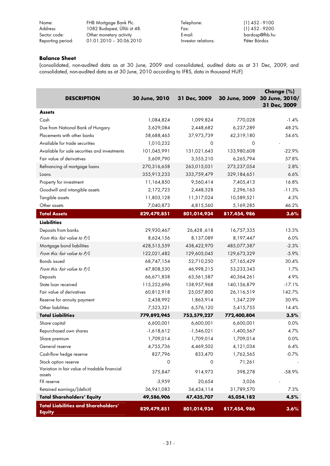| Name:             | FHB Mortgage Bank Plc.      | Telephone:          | $(1)$ 452 - 9100 |
|-------------------|-----------------------------|---------------------|------------------|
| Address:          | 1082 Budapest, Üllői út 48. | Fax:                | $(1)$ 452 - 9200 |
| Sector code:      | Other monetary activity     | E-mail:             | bardosp@fhb.hu   |
| Reporting period: | $01.01.2010 - 30.06.2010$   | Investor relations: | Péter Bárdos     |

#### **Balance Sheet**

(consolidated, non-audited data as at 30 June, 2009 and consolidated, audited data as at 31 Dec, 2009, and consolidated, non-audited data as at 30 June, 2010 according to IFRS, data in thousand HUF)

| <b>DESCRIPTION</b>                                          | 30 June, 2010 | 31 Dec, 2009    | 30 June, 2009 | Change (%)<br>30 June, 2010/<br>31 Dec, 2009 |
|-------------------------------------------------------------|---------------|-----------------|---------------|----------------------------------------------|
| <b>Assets</b>                                               |               |                 |               |                                              |
| Cash                                                        | 1,084,824     | 1,099,824       | 770,028       | $-1.4%$                                      |
| Due from National Bank of Hungary                           | 3,629,084     | 2,448,682       | 6,237,289     | 48.2%                                        |
| Placements with other banks                                 | 58,688,465    | 37,973,739      | 42,319,180    | 54.6%                                        |
| Available for trade securities                              | 1,010,232     | $\circ$         | 0             |                                              |
| Available for sale securities and investments               | 101,045,991   | 131,021,643     | 133,980,608   | $-22.9%$                                     |
| Fair value of derivatives                                   | 5,609,790     | 3,555,210       | 6,265,794     | 57.8%                                        |
| Refinancing of mortgage loans                               | 270,316,658   | 263,015,031     | 273,237,054   | 2.8%                                         |
| Loans                                                       | 355,913,233   | 333,759,479     | 329,184,651   | 6.6%                                         |
| Property for investment                                     | 11,164,850    | 9,560,414       | 7,405,413     | 16.8%                                        |
| Goodwill and intangible assets                              | 2,172,723     | 2,448,328       | 2,296,163     | $-11.3%$                                     |
| Tangible assets                                             | 11,803,128    | 11,317,024      | 10,589,521    | 4.3%                                         |
| Other assets                                                | 7,040,873     | 4,815,560       | 5,169,285     | 46.2%                                        |
| <b>Total Assets</b>                                         | 829,479,851   | 801,014,934     | 817,454,986   | 3.6%                                         |
| <b>Liabilities</b>                                          |               |                 |               |                                              |
| Deposits from banks                                         | 29,930,467    | 186, 26, 26, 26 | 16,757,335    | 13.3%                                        |
| From this: fair value to P/L                                | 8,624,156     | 8,137,089       | 8,197,447     | 6.0%                                         |
| Mortgage bond liabilities                                   | 428,515,559   | 438,422,970     | 485,077,387   | $-2.3%$                                      |
| From this: fair value to P/L                                | 122,021,482   | 129,605,045     | 129,673,329   | $-5.9%$                                      |
| <b>Bonds</b> issued                                         | 68,747,154    | 52,710,250      | 57,165,429    | 30.4%                                        |
| From this: fair value to P/L                                | 47,808,530    | 46,998,215      | 53,233,343    | 1.7%                                         |
| Deposits                                                    | 66,671,838    | 63,561,587      | 40,364,261    | 4.9%                                         |
| State loan received                                         | 115,252,696   | 138,957,968     | 140, 156, 879 | $-17.1%$                                     |
| Fair value of derivatives                                   | 60,812,918    | 25,057,800      | 26,116,519    | 142.7%                                       |
| Reserve for annuity payment                                 | 2,438,992     | 1,863,914       | 1,347,239     | 30.9%                                        |
| Other liabilities                                           | 7,523,321     | 6,576,120       | 5,415,755     | 14.4%                                        |
| <b>Total Liabilities</b>                                    | 779,892,945   | 753,579,227     | 772,400,804   | 3.5%                                         |
| Share capital                                               | 6,600,001     | 6,600,001       | 6,600,001     | 0.0%                                         |
| Repurchased own shares                                      | $-1,618,612$  | $-1,546,021$    | $-1,400,567$  | 4.7%                                         |
| Share premium                                               | 1,709,014     | 1,709,014       | 1,709,014     | 0.0%                                         |
| General reserve                                             | 4,755,736     | 4,469,502       | 4,121,034     | 6.4%                                         |
| Cash-flow hedge reserve                                     | 827,796       | 833,470         | 1,762,565     | $-0.7%$                                      |
| Stock option reserve                                        | 0             | 0               | 71,261        |                                              |
| Variation in fair value of tradable financial<br>assets     | 375,847       | 914,973         | 398,278       | $-58.9%$                                     |
| FX reserve                                                  | $-3,959$      | 20,654          | 3,026         |                                              |
| Retained earnings/(deficit)                                 | 36,941,083    | 34,434,114      | 31,789,570    | 7.3%                                         |
| <b>Total Shareholders' Equity</b>                           | 49,586,906    | 47,435,707      | 45,054,182    | 4.5%                                         |
| <b>Total Liabilities and Shareholders'</b><br><b>Equity</b> | 829,479,851   | 801,014,934     | 817,454,986   | 3.6%                                         |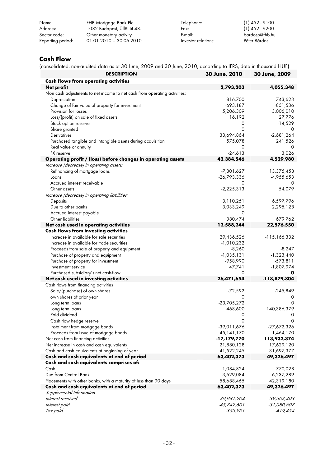| Name:             | FHB Mortgage Bank Plc.      | Telephone:          | $(1)$ 452 - 9100 |
|-------------------|-----------------------------|---------------------|------------------|
| Address:          | 1082 Budapest, Üllői út 48. | Fax:                | $(1)$ 452 - 9200 |
| Sector code:      | Other monetary activity     | E-mail:             | bardosp@fhb.hu   |
| Reporting period: | $01.01.2010 - 30.06.2010$   | Investor relations: | Péter Bárdos     |

# **Cash Flow**

(consolidated, non-audited data as at 30 June, 2009 and 30 June, 2010, according to IFRS, data in thousand HUF)

| <b>DESCRIPTION</b>                                                              | 30 June, 2010            | 30 June, 2009            |
|---------------------------------------------------------------------------------|--------------------------|--------------------------|
| <b>Cash flows from operating activities</b>                                     |                          |                          |
| Net profit                                                                      | 2,793,203                | 4,055,348                |
| Non cash adjustments to net income to net cash from operating activities:       |                          |                          |
| Depreciation                                                                    | 816,700                  | 743,623                  |
| Change of fair value of property for investment                                 | $-693,187$               | $-851,536$               |
| Provision for losses                                                            | 5,206,309                | 3,006,010                |
| Loss/(profit) on sale of fixed assets                                           | 16,192                   | 27,776                   |
| Stock option reserve                                                            | 0                        | $-14,529$                |
| Share granted                                                                   | $\Omega$                 | 0                        |
| <b>Derivatives</b>                                                              | 33,694,864               | $-2,681,264$             |
| Purchased tangible and intangible assets during acquisition                     | 575,078                  | 241,526                  |
| Real value of annuity                                                           | 0                        | 0                        |
| <b>FX</b> reserve                                                               | $-24,613$                | 3,026                    |
| Operating profit / (loss) before changes in operating assets                    | 42,384,546               | 4,529,980                |
| Increase (decrease) in operating assets:                                        |                          |                          |
| Refinancing of mortgage loans                                                   | -7,301,627               | 13,375,458               |
| Loans<br>Accrued interest receivable                                            | $-26,793,336$            | $-4,955,653$             |
| Other assets                                                                    | 0<br>$-2,225,313$        | 0<br>54,079              |
| Increase (decrease) in operating liabilities:                                   |                          |                          |
| Deposits                                                                        | 3,110,251                | 6,597,796                |
| Due to other banks                                                              | 3,033,249                | 2,295,128                |
| Accrued interest payable                                                        | 0                        |                          |
| Other liabilities                                                               | 380,474                  | 679,762                  |
| Net cash used in operating activities                                           | 12,588,244               | 22,576,550               |
| <b>Cash flows from investing activities</b>                                     |                          |                          |
| Increase in available for sale securities                                       | 29,436,526               | -115,166,332             |
| Increase in available for trade securities                                      | $-1,010,232$             |                          |
| Proceeds from sale of property and equipment                                    | $-8,260$                 | $-8,247$                 |
| Purchase of property and equipment                                              | $-1,035,131$             | $-1,323,440$             |
| Purchase of property for investment                                             | -958,990                 | $-573,811$               |
| Investment service                                                              | 47,741                   | $-1,807,974$             |
| Purchased subsidiary's net cash-flow                                            | 0                        |                          |
| Net cash used in investing activities                                           | 26,471,654               | -118,879,804             |
| Cash flows from financing activities                                            |                          |                          |
| Sale/(purchase) of own shares                                                   | $-72,592$                | $-245,849$               |
| own shares of prior year                                                        | 0                        | 0                        |
| Long term loans                                                                 | $-23,705,272$            | 0                        |
| Long term loans                                                                 | 468,600                  | 140,386,379              |
| Paid dividend                                                                   | 0                        | 0                        |
| Cash flow hedge reserve                                                         | 0                        | 0                        |
| Instalment from mortgage bonds                                                  | -39,011,676              | $-27,672,326$            |
| Proceeds from issue of mortgage bonds                                           | 45,141,170               | 1,464,170                |
| Net cash from financing activities<br>Net increase in cash and cash equivalents | -17,179,770              | 113,932,374              |
| Cash and cash equivalents at beginning of year                                  | 21,880,128<br>41,522,245 | 17,629,120               |
| Cash and cash equivalents at end of period                                      | 63,402,373               | 31,697,377<br>49,326,497 |
| Cash and cash equivalents comprises of:                                         |                          |                          |
| Cash                                                                            | 1,084,824                | 770,028                  |
| Due from Central Bank                                                           | 3,629,084                | 6,237,289                |
| Placements with other banks, with a maturity of less than 90 days               | 58,688,465               | 42,319,180               |
| Cash and cash equivalents at end of period                                      | 63,402,373               | 49,326,497               |
| Supplemental information                                                        |                          |                          |
| Interest received                                                               | 39,981,204               | 39,503,403               |
| Interest paid                                                                   | -45,742,601              | $-31,080,607$            |
| Tax paid                                                                        | $-353,931$               | $-419,454$               |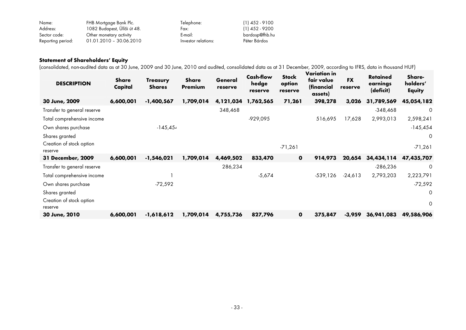| Name:             | FHB Mortgage Bank Plc.      | Telephone:          | $(1)$ 452 - 9100 |
|-------------------|-----------------------------|---------------------|------------------|
| Address:          | 1082 Budapest, Üllői út 48. | Fax:                | $(1)$ 452 - 9200 |
| Sector code:      | Other monetary activity     | E-mail:             | bardosp@fhb.hu   |
| Reporting period: | $01.01.2010 - 30.06.2010$   | Investor relations: | Péter Bárdos     |

#### **Statement of Shareholders' Equity**

(consolidated, non-audited data as at 30 June, 2009 and 30 June, 2010 and audited, consolidated data as at 31 December, 2009, according to IFRS, data in thousand HUF)

| <b>DESCRIPTION</b>                  | Share<br>Capital | <b>Treasury</b><br><b>Shares</b> | Share<br><b>Premium</b> | General<br>reserve | <b>Cash-flow</b><br>hedge<br>reserve | <b>Stock</b><br>option<br>reserve | Variation in<br>fair value<br>(financial<br>assets) | <b>FX</b><br>reserve | <b>Retained</b><br>earnings<br>(deficit) | Share-<br>holders'<br><b>Equity</b> |
|-------------------------------------|------------------|----------------------------------|-------------------------|--------------------|--------------------------------------|-----------------------------------|-----------------------------------------------------|----------------------|------------------------------------------|-------------------------------------|
| 30 June, 2009                       | 6,600,001        | $-1,400,567$                     | 1,709,014               | 4,121,034          | 1,762,565                            | 71,261                            | 398,278                                             | 3,026                | 31,789,569                               | 45,054,182                          |
| Transfer to general reserve         |                  |                                  |                         | 348,468            |                                      |                                   |                                                     |                      | $-348,468$                               | 0                                   |
| Total comprehensive income          |                  |                                  |                         |                    | $-929,095$                           |                                   | 516,695                                             | 17,628               | 2,993,013                                | 2,598,241                           |
| Own shares purchase                 |                  | $-145,454$                       |                         |                    |                                      |                                   |                                                     |                      |                                          | $-145,454$                          |
| Shares granted                      |                  |                                  |                         |                    |                                      |                                   |                                                     |                      |                                          | 0                                   |
| Creation of stock option<br>reserve |                  |                                  |                         |                    |                                      | $-71,261$                         |                                                     |                      |                                          | $-71,261$                           |
| 31 December, 2009                   | 6,600,001        | $-1,546,021$                     | 1,709,014               | 4,469,502          | 833,470                              | $\mathbf 0$                       | 914,973                                             | 20,654               | 34,434,114                               | 47,435,707                          |
| Transfer to general reserve         |                  |                                  |                         | 286,234            |                                      |                                   |                                                     |                      | $-286,236$                               | 0                                   |
| Total comprehensive income          |                  |                                  |                         |                    | $-5,674$                             |                                   | $-539,126$                                          | $-24,613$            | 2,793,203                                | 2,223,791                           |
| Own shares purchase                 |                  | -72,592                          |                         |                    |                                      |                                   |                                                     |                      |                                          | $-72,592$                           |
| Shares granted                      |                  |                                  |                         |                    |                                      |                                   |                                                     |                      |                                          | $\mathbf 0$                         |
| Creation of stock option<br>reserve |                  |                                  |                         |                    |                                      |                                   |                                                     |                      |                                          | 0                                   |
| 30 June, 2010                       | 6,600,001        | $-1,618,612$                     | 1,709,014               | 4,755,736          | 827,796                              | $\mathbf{o}$                      | 375,847                                             | $-3,959$             | 36,941,083                               | 49,586,906                          |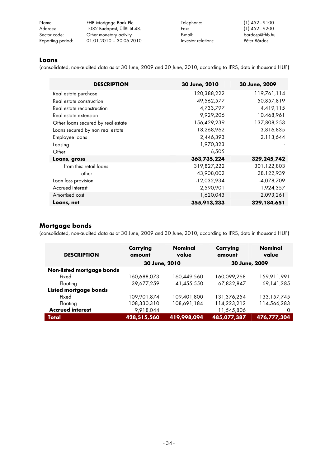| Name:             | FHB Mortgage Bank Plc.      | Telephone:          | $(1)$ 452 - 9100 |
|-------------------|-----------------------------|---------------------|------------------|
| Address:          | 1082 Budapest, Üllői út 48. | Fax:                | $(1)$ 452 - 9200 |
| Sector code:      | Other monetary activity     | E-mail:             | bardosp@fhb.hu   |
| Reporting period: | $01.01.2010 - 30.06.2010$   | Investor relations: | Péter Bárdos     |

#### **Loans**

(consolidated, non-audited data as at 30 June, 2009 and 30 June, 2010, according to IFRS, data in thousand HUF)

| <b>DESCRIPTION</b>                 | 30 June, 2010 | 30 June, 2009 |
|------------------------------------|---------------|---------------|
| Real estate purchase               | 120,388,222   | 119,761,114   |
| Real estate construction           | 49,562,577    | 50,857,819    |
| Real estate reconstruction         | 4,733,797     | 4,419,115     |
| Real estate extension              | 9,929,206     | 10,468,961    |
| Other loans secured by real estate | 156,429,239   | 137,808,253   |
| Loans secured by non real estate   | 18,268,962    | 3,816,835     |
| Employee loans                     | 2,446,393     | 2,113,644     |
| Leasing                            | 1,970,323     |               |
| Other                              | 6,505         |               |
| Loans, gross                       | 363,735,224   | 329,245,742   |
| from this: retail loans            | 319,827,222   | 301,122,803   |
| other                              | 43,908,002    | 28,122,939    |
| Loan loss provision                | $-12,032,934$ | $-4,078,709$  |
| Accrued interest                   | 2,590,901     | 1,924,357     |
| Amortised cost                     | 1,620,043     | 2,093,261     |
| Loans, net                         | 355,913,233   | 329,184,651   |

# **Mortgage bonds**

(consolidated, non-audited data as at 30 June, 2009 and 30 June, 2010, according to IFRS, data in thousand HUF)

| <b>DESCRIPTION</b>        | Carrying<br>amount | <b>Nominal</b><br>value | Carrying<br>amount | <b>Nominal</b><br>value |  |  |
|---------------------------|--------------------|-------------------------|--------------------|-------------------------|--|--|
|                           | 30 June, 2010      |                         | 30 June, 2009      |                         |  |  |
| Non-listed mortgage bonds |                    |                         |                    |                         |  |  |
| Fixed                     | 160,688,073        | 160.449.560             | 160,099,268        | 159.911.991             |  |  |
| Floating                  | 39,677,259         | 41,455,550              | 67,832,847         | 69, 141, 285            |  |  |
| Listed mortgage bonds     |                    |                         |                    |                         |  |  |
| Fixed                     | 109,901,874        | 109,401,800             | 131,376,254        | 133, 157, 745           |  |  |
| Floating                  | 108,330,310        | 108,691,184             | 114,223,212        | 114,566,283             |  |  |
| <b>Accrued interest</b>   | 9,918,044          |                         | 11,545,806         | 0                       |  |  |
| Total                     | 428,515,560        | 419,998,094             | 485,077,387        | 476,777,304             |  |  |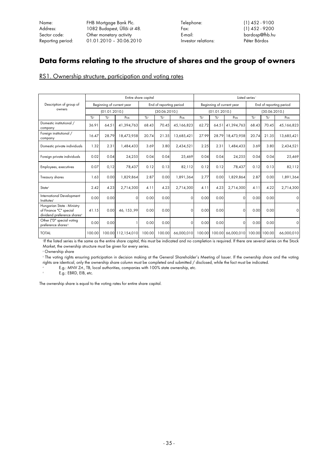Name: FHB Mortgage Bank Plc. Telephone: (1) 452 - 9100 1082 Budapest, Üllői út 48. Sector code: Cher monetary activity E-mail: bardosp@fhb.hu bardosp@fhb.hu<br>Reporting period: 01.01.2010 - 30.06.2010 1nvestor relations: Péter Bárdos Reporting period: 01.01.2010 - 30.06.2010

# **Data forms relating to the structure of shares and the group of owners**

RS1. Ownership structure, participation and voting rates

|                                                                                                 | Entire share capital |                            |                    |               |                            | Listed series <sup>1</sup> |                           |                            |                   |                         |                            |             |
|-------------------------------------------------------------------------------------------------|----------------------|----------------------------|--------------------|---------------|----------------------------|----------------------------|---------------------------|----------------------------|-------------------|-------------------------|----------------------------|-------------|
| Description of group of                                                                         |                      | Beginning of current year  |                    |               | End of reporting period    |                            | Beginning of current year |                            |                   | End of reporting period |                            |             |
| owners                                                                                          |                      | (01.01.2010.)              |                    |               | (30.06.2010.)              |                            |                           | (01.01.2010.)              |                   |                         | (30.06.2010.)              |             |
|                                                                                                 | $\frac{9}{2}$        | $\frac{9}{2}$ <sup>3</sup> | Pcs                | $\frac{9}{2}$ | $\frac{9}{2}$ <sup>3</sup> | Pcs                        | $\frac{9}{2}$             | $\frac{9}{2}$ <sup>3</sup> | Pcs               | $\frac{9}{2}$           | $\frac{9}{2}$ <sup>3</sup> | Pcs         |
| Domestic institutional /<br>company                                                             | 36.91                | 64.51                      | 41,394,763         | 68.43         | 70.45                      | 45,166,823                 | 62.72                     |                            | 64.51 41,394,763  | 68.43                   | 70.45                      | 45,166,823  |
| Foreign institutional /<br>company                                                              | 16.47                | 28.79                      | 18,473,958         | 20.74         | 21.35                      | 13,685,421                 | 27.99                     |                            | 28.79 18.473.958  | 20.74                   | 21.35                      | 13,685,421  |
| Domestic private individuals                                                                    | 1.32                 | 2.31                       | 1,484,433          | 3.69          | 3.80                       | 2,434,521                  | 2.25                      | 2.31                       | 1,484,433         | 3.69                    | 3.80                       | 2,434,521   |
| Foreign private individuals                                                                     | 0.02                 | 0.04                       | 24,255             | 0.04          | 0.04                       | 25,469                     | 0.04                      | 0.04                       | 24,255            | 0.04                    | 0.04                       | 25,469      |
| Employees, executives                                                                           | 0.07                 | 0,12                       | 78,437             | 0.12          | 0.13                       | 82,112                     | 0.12                      | 0.12                       | 78,437            | 0.12                    | 0.13                       | 82,112      |
| <b>Treasury shares</b>                                                                          | 1.63                 | 0.00                       | 1,829,864          | 2.87          | 0.00                       | 1.891.364                  | 2.77                      | 0.00                       | 1,829,864         | 2.87                    | 0.00                       | 1,891,364   |
| State <sup>4</sup>                                                                              | 2.42                 | 4.23                       | 2,714,300          | 4.11          | 4.23                       | 2,714,300                  | 4.11                      | 4.23                       | 2,714,300         | 4.11                    | 4.22                       | 2,714,300   |
| <b>International Development</b><br>Institutes <sup>5</sup>                                     | 0.00                 | 0.00                       | $\Omega$           | 0.00          | 0.00                       | $\Omega$                   | 0.00                      | 0.00                       | $\Omega$          | 0.00                    | 0.00                       | $\circ$     |
| Hungarian State - Ministry<br>of Finance "C" special<br>dividend preference shares <sup>6</sup> | 41.15                | 0.00                       | 46, 153., 99       | 0.00          | 0.00                       | $\Omega$                   | 0.00                      | 0.00                       | $\Omega$          | 0.00                    | 0.00                       | 0           |
| Other ("D" special voting<br>preference shares <sup>71</sup>                                    | 0.00                 | 0.00                       |                    | 0.00          | 0.00                       | $\Omega$                   | 0.00                      | 0.00                       | $\circ$           | 0.00                    | 0.00                       | $\mathbf 0$ |
| <b>TOTAL</b>                                                                                    | 100.00               |                            | 100.00 112,154,010 | 100.00        | 100.00                     | 66,000,010                 | 100.00                    |                            | 100.00 66,000,010 |                         | 100.00 100.00              | 66,000,010  |

1 If the listed series is the same as the entire share capital, this must be indicated and no completion is required. If there are several series on the Stock Market, the ownership structure must be given for every series. 2

Ownership share

3 The voting rights ensuring participation in decision making at the General Shareholder's Meeting of Issuer. If the ownership share and the voting rights are identical, only the ownership share column must be completed and submitted / disclosed, while the fact must be indicated. 4

E.g.: MNV Zrt., TB, local authorities, companies with 100% state ownership, etc.

E.g.: EBRD, EIB, etc.

The ownership share is equal to the voting rates for entire share capital.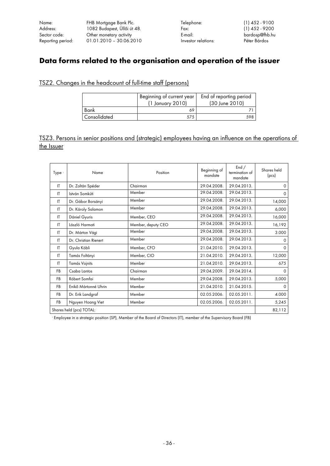Name: FHB Mortgage Bank Plc. Telephone: (1) 452 - 9100 Address: 1082 Budapest, Üllői út 48. Fax: (1) 452 - 9200 Sector code: Other monetary activity E-mail: bardosp@fhb.hu  $01.01.2010 - 30.06.2010$ 

# **Data forms related to the organisation and operation of the issuer**

#### TSZ2. Changes in the headcount of full-time staff (persons)

|                     | Beginning of current year<br>(1 January 2010) | End of reporting period<br>(30 June 2010) |  |  |
|---------------------|-----------------------------------------------|-------------------------------------------|--|--|
| Bank                | 69                                            |                                           |  |  |
| <b>Consolidated</b> |                                               |                                           |  |  |

# TSZ3. Persons in senior positions and (strategic) employees having an influence on the operations of the Issuer

| Type <sup>1</sup>        | Name                  | Position           | Beginning of<br>mandate | End /<br>termination of<br>mandate | Shares held<br>(pcs) |
|--------------------------|-----------------------|--------------------|-------------------------|------------------------------------|----------------------|
| $\mathsf{I}$             | Dr. Zoltán Spéder     | Chairman           | 29.04.2008.             | 29.04.2013.                        | 0                    |
| IT                       | István Somkúti        | Member             | 29.04.2008.             | 29.04.2013.                        | $\Omega$             |
| $\mathsf{I}$             | Dr. Gábor Borsányi    | Member             | 29.04.2008.             | 29.04.2013.                        | 14,000               |
| $\mathsf{I}$             | Dr. Károly Salamon    | Member             | 29.04.2008.             | 29.04.2013.                        | 6,000                |
| $\mathsf{I}$             | Dániel Gyuris         | Member, CEO        | 29.04.2008.             | 29.04.2013.                        | 16,000               |
| $\mathsf{I}$             | László Harmati        | Member, deputy CEO | 29.04.2008.             | 29.04.2013.                        | 16,192               |
| $\mathsf{I}$             | Dr. Márton Vági       | Member             | 29.04.2008.             | 29.04.2013.                        | 3.000                |
| $\mathsf{I}$             | Dr. Christian Rienert | Member             | 29.04.2008.             | 29.04.2013.                        | 0                    |
| IT                       | Gyula Köbli           | Member, CFO        | 21.04.2010.             | 29.04.2013.                        | 0                    |
| $\mathsf{I}$             | Tamás Foltányi        | Member, CIO        | 21.04.2010.             | 29.04.2013.                        | 12,000               |
| IT                       | <b>Tamás Vojnits</b>  | Member             | 21.04.2010.             | 29.04.2013.                        | 675                  |
| <b>FB</b>                | Csaba Lantos          | Chairman           | 29.04.2009.             | 29.04.2014.                        | 0                    |
| <b>FB</b>                | Róbert Somfai         | Member             | 29.04.2008.             | 29.04.2013.                        | 5,000                |
| <b>FB</b>                | Enikő Mártonné Uhrin  | Member             | 21.04.2010.             | 21.04.2015.                        | 0                    |
| <b>FB</b>                | Dr. Erik Landgraf     | Member             | 02.05.2006.             | 02.05.2011.                        | 4.000                |
| FB                       | Nguyen Hoang Viet     | Member             | 02.05.2006.             | 02.05.2011.                        | 5,245                |
| Shares held (pcs) TOTAL: |                       |                    |                         |                                    |                      |

1 Employee in a strategic position (SP), Member of the Board of Directors (IT), member of the Supervisory Board (FB)